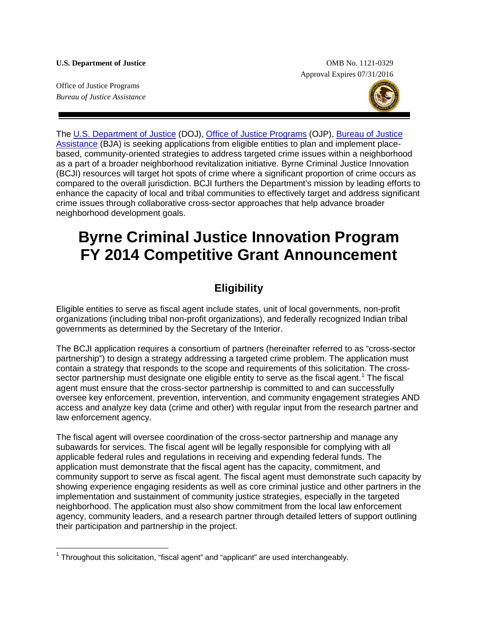**U.S. Department of Justice** OMB No. 1121-0329 Approval Expires 07/31/2016

Office of Justice Programs *Bureau of Justice Assistance*



The [U.S. Department of Justice](http://www.justice.gov/) (DOJ), [Office of Justice Programs](http://www.ojp.gov/) (OJP), [Bureau of Justice](https://www.bja.gov/)  [Assistance](https://www.bja.gov/) (BJA) is seeking applications from eligible entities to plan and implement placebased, community-oriented strategies to address targeted crime issues within a neighborhood as a part of a broader neighborhood revitalization initiative. Byrne Criminal Justice Innovation (BCJI) resources will target hot spots of crime where a significant proportion of crime occurs as compared to the overall jurisdiction. BCJI furthers the Department's mission by leading efforts to enhance the capacity of local and tribal communities to effectively target and address significant crime issues through collaborative cross-sector approaches that help advance broader neighborhood development goals.

# **Byrne Criminal Justice Innovation Program FY 2014 Competitive Grant Announcement**

# **Eligibility**

Eligible entities to serve as fiscal agent include states, unit of local governments, non-profit organizations (including tribal non-profit organizations), and federally recognized Indian tribal governments as determined by the Secretary of the Interior.

The BCJI application requires a consortium of partners (hereinafter referred to as "cross-sector partnership") to design a strategy addressing a targeted crime problem. The application must contain a strategy that responds to the scope and requirements of this solicitation. The cross-sector partnership must designate one eligible entity to serve as the fiscal agent.<sup>[1](#page-0-0)</sup> The fiscal agent must ensure that the cross-sector partnership is committed to and can successfully oversee key enforcement, prevention, intervention, and community engagement strategies AND access and analyze key data (crime and other) with regular input from the research partner and law enforcement agency.

The fiscal agent will oversee coordination of the cross-sector partnership and manage any subawards for services. The fiscal agent will be legally responsible for complying with all applicable federal rules and regulations in receiving and expending federal funds. The application must demonstrate that the fiscal agent has the capacity, commitment, and community support to serve as fiscal agent. The fiscal agent must demonstrate such capacity by showing experience engaging residents as well as core criminal justice and other partners in the implementation and sustainment of community justice strategies, especially in the targeted neighborhood. The application must also show commitment from the local law enforcement agency, community leaders, and a research partner through detailed letters of support outlining their participation and partnership in the project.

<span id="page-0-0"></span> $1$  Throughout this solicitation, "fiscal agent" and "applicant" are used interchangeably.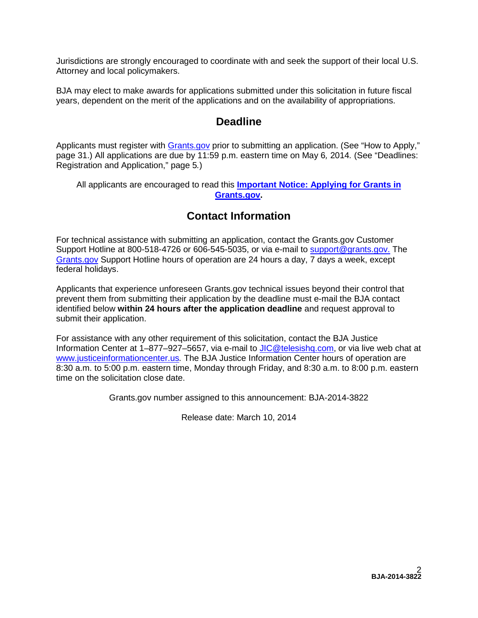Jurisdictions are strongly encouraged to coordinate with and seek the support of their local U.S. Attorney and local policymakers.

BJA may elect to make awards for applications submitted under this solicitation in future fiscal years, dependent on the merit of the applications and on the availability of appropriations.

# **Deadline**

Applicants must register with **Grants.gov** prior to submitting an application. (See "How to Apply," page 31.) All applications are due by 11:59 p.m. eastern time on May 6*,* 2014*.* (See "Deadlines: Registration and Application," page 5*.*)

All applicants are encouraged to read this **[Important Notice: Applying for Grants in](http://www.ojp.usdoj.gov/funding/grantsgov_information.htm)  [Grants.gov.](http://www.ojp.usdoj.gov/funding/grantsgov_information.htm)**

# **Contact Information**

For technical assistance with submitting an application, contact the Grants.gov Customer Support Hotline at 800-518-4726 or 606-545-5035, or via e-mail to [support@grants.gov.](mailto:support@grants.gov) The [Grants.gov](http://www.grants.gov/applicants/apply_for_grants.jsp) Support Hotline hours of operation are 24 hours a day, 7 days a week, except federal holidays.

Applicants that experience unforeseen Grants.gov technical issues beyond their control that prevent them from submitting their application by the deadline must e-mail the BJA contact identified below **within 24 hours after the application deadline** and request approval to submit their application.

For assistance with any other requirement of this solicitation, contact the BJA Justice Information Center at 1-877-927-5657, via e-mail to [JIC@telesishq.com,](mailto:JIC@telesishq.com) or via live web chat at [www.justiceinformationcenter.us](http://www.justiceinformationcenter.us/)*.* The BJA Justice Information Center hours of operation are 8:30 a.m. to 5:00 p.m. eastern time, Monday through Friday, and 8:30 a.m. to 8:00 p.m. eastern time on the solicitation close date.

Grants.gov number assigned to this announcement: BJA-2014-3822

Release date: March 10, 2014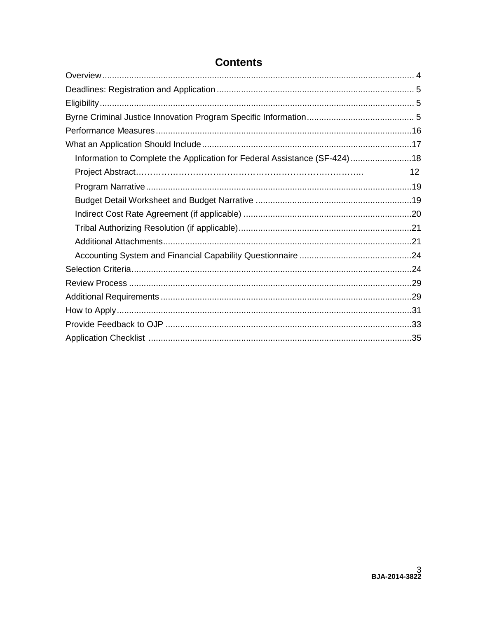| Information to Complete the Application for Federal Assistance (SF-424)18 |    |
|---------------------------------------------------------------------------|----|
| Project Abstract……………………………………………………………………                                | 12 |
|                                                                           |    |
|                                                                           |    |
|                                                                           |    |
|                                                                           |    |
|                                                                           |    |
|                                                                           |    |
|                                                                           |    |
|                                                                           |    |
|                                                                           |    |
|                                                                           |    |
|                                                                           |    |
|                                                                           |    |

# **Contents**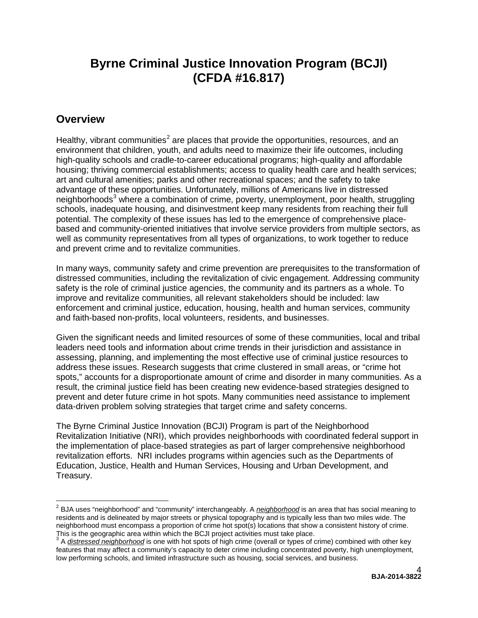# **Byrne Criminal Justice Innovation Program (BCJI) (CFDA #16.817)**

# <span id="page-3-0"></span>**Overview**

Healthy, vibrant communities<sup>[2](#page-3-1)</sup> are places that provide the opportunities, resources, and an environment that children, youth, and adults need to maximize their life outcomes, including high-quality schools and cradle-to-career educational programs; high-quality and affordable housing; thriving commercial establishments; access to quality health care and health services; art and cultural amenities; parks and other recreational spaces; and the safety to take advantage of these opportunities. Unfortunately, millions of Americans live in distressed neighborhoods<sup>[3](#page-3-2)</sup> where a combination of crime, poverty, unemployment, poor health, struggling schools, inadequate housing, and disinvestment keep many residents from reaching their full potential. The complexity of these issues has led to the emergence of comprehensive placebased and community-oriented initiatives that involve service providers from multiple sectors, as well as community representatives from all types of organizations, to work together to reduce and prevent crime and to revitalize communities.

In many ways, community safety and crime prevention are prerequisites to the transformation of distressed communities, including the revitalization of civic engagement. Addressing community safety is the role of criminal justice agencies, the community and its partners as a whole. To improve and revitalize communities, all relevant stakeholders should be included: law enforcement and criminal justice, education, housing, health and human services, community and faith-based non-profits, local volunteers, residents, and businesses.

Given the significant needs and limited resources of some of these communities, local and tribal leaders need tools and information about crime trends in their jurisdiction and assistance in assessing, planning, and implementing the most effective use of criminal justice resources to address these issues. Research suggests that crime clustered in small areas, or "crime hot spots," accounts for a disproportionate amount of crime and disorder in many communities. As a result, the criminal justice field has been creating new evidence-based strategies designed to prevent and deter future crime in hot spots. Many communities need assistance to implement data-driven problem solving strategies that target crime and safety concerns.

The Byrne Criminal Justice Innovation (BCJI) Program is part of the Neighborhood Revitalization Initiative (NRI), which provides neighborhoods with coordinated federal support in the implementation of place-based strategies as part of larger comprehensive neighborhood revitalization efforts. NRI includes programs within agencies such as the Departments of Education, Justice, Health and Human Services, Housing and Urban Development, and Treasury.

<span id="page-3-1"></span><sup>2</sup> BJA uses "neighborhood" and "community" interchangeably. A *neighborhood* is an area that has social meaning to residents and is delineated by major streets or physical topography and is typically less than two miles wide. The neighborhood must encompass a proportion of crime hot spot(s) locations that show a consistent history of crime. This is the geographic area within which the BCJI project activities must take place.

<span id="page-3-2"></span><sup>3</sup> A *distressed neighborhood* is one with hot spots of high crime (overall or types of crime) combined with other key features that may affect a community's capacity to deter crime including concentrated poverty, high unemployment, low performing schools, and limited infrastructure such as housing, social services, and business.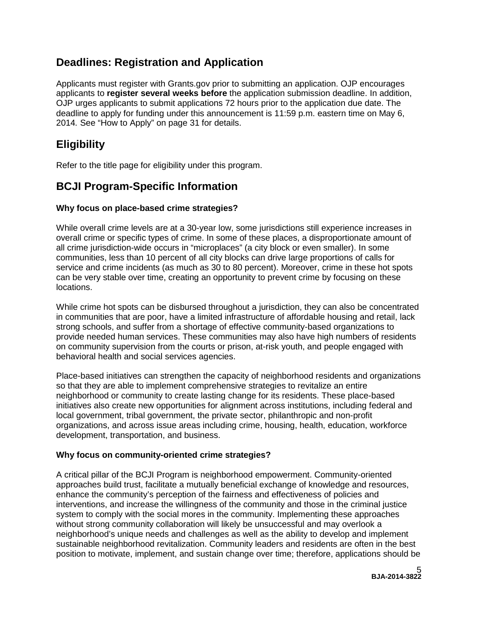# <span id="page-4-0"></span>**Deadlines: Registration and Application**

Applicants must register with Grants.gov prior to submitting an application. OJP encourages applicants to **register several weeks before** the application submission deadline. In addition, OJP urges applicants to submit applications 72 hours prior to the application due date. The deadline to apply for funding under this announcement is 11:59 p.m. eastern time on May 6, 2014*.* See "How to Apply" on page 31 for details.

# <span id="page-4-1"></span>**Eligibility**

Refer to the title page for eligibility under this program.

# <span id="page-4-2"></span>**BCJI Program-Specific Information**

# **Why focus on place-based crime strategies?**

While overall crime levels are at a 30-year low, some jurisdictions still experience increases in overall crime or specific types of crime. In some of these places, a disproportionate amount of all crime jurisdiction-wide occurs in "microplaces" (a city block or even smaller). In some communities, less than 10 percent of all city blocks can drive large proportions of calls for service and crime incidents (as much as 30 to 80 percent). Moreover, crime in these hot spots can be very stable over time, creating an opportunity to prevent crime by focusing on these locations.

While crime hot spots can be disbursed throughout a jurisdiction, they can also be concentrated in communities that are poor, have a limited infrastructure of affordable housing and retail, lack strong schools, and suffer from a shortage of effective community-based organizations to provide needed human services. These communities may also have high numbers of residents on community supervision from the courts or prison, at-risk youth, and people engaged with behavioral health and social services agencies.

Place-based initiatives can strengthen the capacity of neighborhood residents and organizations so that they are able to implement comprehensive strategies to revitalize an entire neighborhood or community to create lasting change for its residents. These place-based initiatives also create new opportunities for alignment across institutions, including federal and local government, tribal government, the private sector, philanthropic and non-profit organizations, and across issue areas including crime, housing, health, education, workforce development, transportation, and business.

### **Why focus on community-oriented crime strategies?**

A critical pillar of the BCJI Program is neighborhood empowerment. Community-oriented approaches build trust, facilitate a mutually beneficial exchange of knowledge and resources, enhance the community's perception of the fairness and effectiveness of policies and interventions, and increase the willingness of the community and those in the criminal justice system to comply with the social mores in the community. Implementing these approaches without strong community collaboration will likely be unsuccessful and may overlook a neighborhood's unique needs and challenges as well as the ability to develop and implement sustainable neighborhood revitalization. Community leaders and residents are often in the best position to motivate, implement, and sustain change over time; therefore, applications should be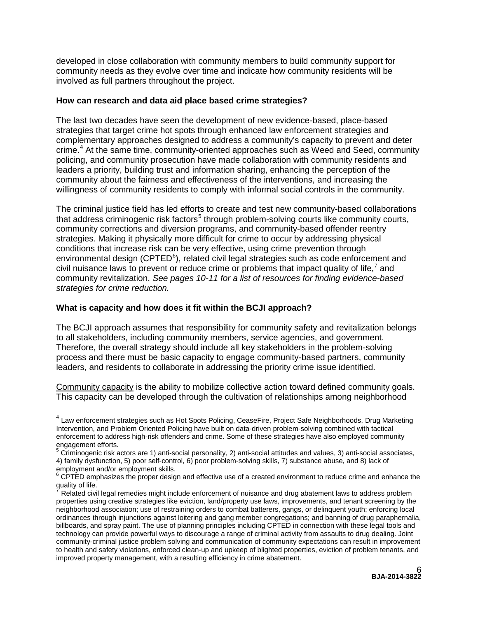developed in close collaboration with community members to build community support for community needs as they evolve over time and indicate how community residents will be involved as full partners throughout the project.

#### **How can research and data aid place based crime strategies?**

The last two decades have seen the development of new evidence-based, place-based strategies that target crime hot spots through enhanced law enforcement strategies and complementary approaches designed to address a community's capacity to prevent and deter crime.[4](#page-5-0) At the same time, community-oriented approaches such as Weed and Seed, community policing, and community prosecution have made collaboration with community residents and leaders a priority, building trust and information sharing, enhancing the perception of the community about the fairness and effectiveness of the interventions, and increasing the willingness of community residents to comply with informal social controls in the community.

The criminal justice field has led efforts to create and test new community-based collaborations that address criminogenic risk factors<sup>[5](#page-5-1)</sup> through problem-solving courts like community courts, community corrections and diversion programs, and community-based offender reentry strategies. Making it physically more difficult for crime to occur by addressing physical conditions that increase risk can be very effective, using crime prevention through environmental design (CPTED $^6$  $^6$ ), related civil legal strategies such as code enforcement and civil nuisance laws to prevent or reduce crime or problems that impact quality of life, $^7$  $^7$  and community revitalization. *See pages 10-11 for a list of resources for finding evidence-based strategies for crime reduction.*

#### **What is capacity and how does it fit within the BCJI approach?**

The BCJI approach assumes that responsibility for community safety and revitalization belongs to all stakeholders, including community members, service agencies, and government. Therefore, the overall strategy should include all key stakeholders in the problem-solving process and there must be basic capacity to engage community-based partners, community leaders, and residents to collaborate in addressing the priority crime issue identified.

Community capacity is the ability to mobilize collective action toward defined community goals. This capacity can be developed through the cultivation of relationships among neighborhood

<span id="page-5-0"></span><sup>&</sup>lt;sup>4</sup> Law enforcement strategies such as Hot Spots Policing, CeaseFire, Project Safe Neighborhoods, Drug Marketing Intervention, and Problem Oriented Policing have built on data-driven problem-solving combined with tactical enforcement to address high-risk offenders and crime. Some of these strategies have also employed community engagement efforts.

<span id="page-5-1"></span> $\frac{5}{5}$  Criminogenic risk actors are 1) anti-social personality, 2) anti-social attitudes and values, 3) anti-social associates, 4) family dysfunction, 5) poor self-control, 6) poor problem-solving skills, 7) substance abuse, and 8) lack of employment and/or employment skills.

<span id="page-5-2"></span><sup>6</sup> CPTED emphasizes the proper design and effective use of a created environment to reduce crime and enhance the quality of life.

<span id="page-5-3"></span>Related civil legal remedies might include enforcement of nuisance and drug abatement laws to address problem properties using creative strategies like eviction, land/property use laws, improvements, and tenant screening by the neighborhood association; use of restraining orders to combat batterers, gangs, or delinquent youth; enforcing local ordinances through injunctions against loitering and gang member congregations; and banning of drug paraphernalia, billboards, and spray paint. The use of planning principles including CPTED in connection with these legal tools and technology can provide powerful ways to discourage a range of criminal activity from assaults to drug dealing. Joint community-criminal justice problem solving and communication of community expectations can result in improvement to health and safety violations, enforced clean-up and upkeep of blighted properties, eviction of problem tenants, and improved property management, with a resulting efficiency in crime abatement.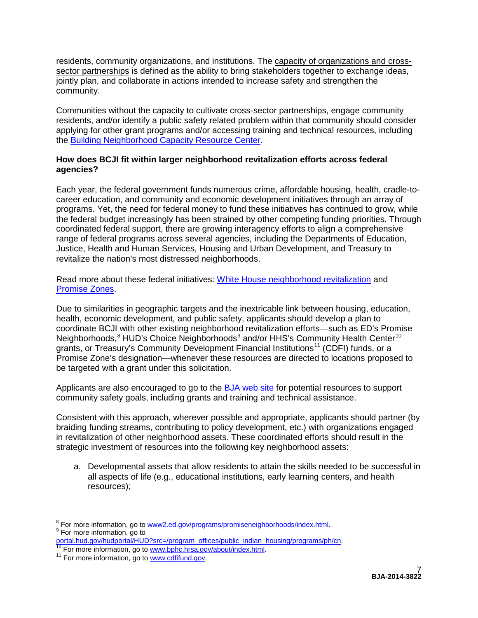residents, community organizations, and institutions. The capacity of organizations and crosssector partnerships is defined as the ability to bring stakeholders together to exchange ideas, jointly plan, and collaborate in actions intended to increase safety and strengthen the community.

Communities without the capacity to cultivate cross-sector partnerships, engage community residents, and/or identify a public safety related problem within that community should consider applying for other grant programs and/or accessing training and technical resources, including the [Building Neighborhood Capacity Resource Center.](http://www.buildingcommunitycapacity.org/)

### **How does BCJI fit within larger neighborhood revitalization efforts across federal agencies?**

Each year, the federal government funds numerous crime, affordable housing, health, cradle-tocareer education, and community and economic development initiatives through an array of programs. Yet, the need for federal money to fund these initiatives has continued to grow, while the federal budget increasingly has been strained by other competing funding priorities. Through coordinated federal support, there are growing interagency efforts to align a comprehensive range of federal programs across several agencies, including the Departments of Education, Justice, Health and Human Services, Housing and Urban Development, and Treasury to revitalize the nation's most distressed neighborhoods.

Read more about these federal initiatives: [White House neighborhood revitalization](http://www.whitehouse.gov/administration/eop/oua/initiatives/neighborhood-revitalization) and [Promise Zones.](http://portal.hud.gov/hudportal/HUD?src=/program_offices/comm_planning/economicdevelopment/programs/pz)

Due to similarities in geographic targets and the inextricable link between housing, education, health, economic development, and public safety, applicants should develop a plan to coordinate BCJI with other existing neighborhood revitalization efforts—such as ED's Promise Neighborhoods,<sup>[8](#page-6-0)</sup> HUD's Choice Neighborhoods<sup>[9](#page-6-1)</sup> and/or HHS's Community Health Center<sup>[10](#page-6-2)</sup> grants, or Treasury's Community Development Financial Institutions<sup>[11](#page-6-3)</sup> (CDFI) funds, or a Promise Zone's designation—whenever these resources are directed to locations proposed to be targeted with a grant under this solicitation.

Applicants are also encouraged to go to the [BJA web site](https://www.bja.gov/) for potential resources to support community safety goals, including grants and training and technical assistance.

Consistent with this approach, wherever possible and appropriate, applicants should partner (by braiding funding streams, contributing to policy development, etc.) with organizations engaged in revitalization of other neighborhood assets. These coordinated efforts should result in the strategic investment of resources into the following key neighborhood assets:

a. Developmental assets that allow residents to attain the skills needed to be successful in all aspects of life (e.g., educational institutions, early learning centers, and health resources);

<span id="page-6-0"></span><sup>&</sup>lt;sup>8</sup> For more information, go to [www2.ed.gov/programs/promiseneighborhoods/index.html.](http://www2.ed.gov/programs/promiseneighborhoods/index.html)<br><sup>9</sup> For more information, go to

<span id="page-6-2"></span><span id="page-6-1"></span>[portal.hud.gov/hudportal/HUD?src=/program\\_offices/public\\_indian\\_housing/programs/ph/cn.](http://portal.hud.gov/hudportal/HUD?src=/program_offices/public_indian_housing/programs/ph/cn) <sup>10</sup> For more information, go to [www.bphc.hrsa.gov/about/index.html.](http://bphc.hrsa.gov/about/index.html) <sup>11</sup> For more information, go to [www.cdfifund.gov.](http://www.cdfifund.gov/)

<span id="page-6-3"></span>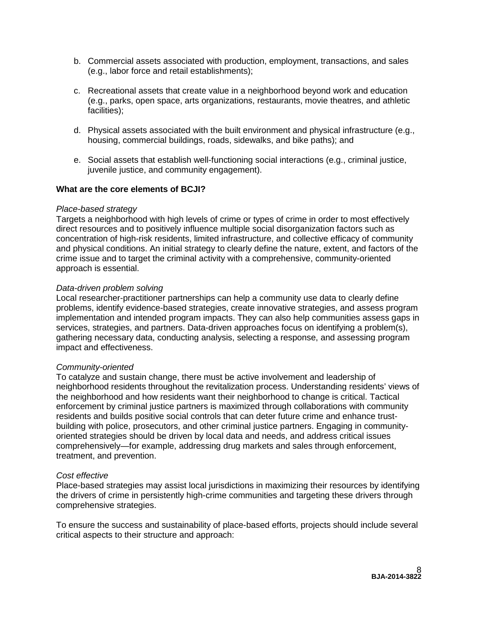- b. Commercial assets associated with production, employment, transactions, and sales (e.g., labor force and retail establishments);
- c. Recreational assets that create value in a neighborhood beyond work and education (e.g., parks, open space, arts organizations, restaurants, movie theatres, and athletic facilities);
- d. Physical assets associated with the built environment and physical infrastructure (e.g., housing, commercial buildings, roads, sidewalks, and bike paths); and
- e. Social assets that establish well-functioning social interactions (e.g., criminal justice, juvenile justice, and community engagement).

#### **What are the core elements of BCJI?**

#### *Place-based strategy*

Targets a neighborhood with high levels of crime or types of crime in order to most effectively direct resources and to positively influence multiple social disorganization factors such as concentration of high-risk residents, limited infrastructure, and collective efficacy of community and physical conditions. An initial strategy to clearly define the nature, extent, and factors of the crime issue and to target the criminal activity with a comprehensive, community-oriented approach is essential.

#### *Data-driven problem solving*

Local researcher-practitioner partnerships can help a community use data to clearly define problems, identify evidence-based strategies, create innovative strategies, and assess program implementation and intended program impacts. They can also help communities assess gaps in services, strategies, and partners. Data-driven approaches focus on identifying a problem(s), gathering necessary data, conducting analysis, selecting a response, and assessing program impact and effectiveness.

#### *Community-oriented*

To catalyze and sustain change, there must be active involvement and leadership of neighborhood residents throughout the revitalization process. Understanding residents' views of the neighborhood and how residents want their neighborhood to change is critical. Tactical enforcement by criminal justice partners is maximized through collaborations with community residents and builds positive social controls that can deter future crime and enhance trustbuilding with police, prosecutors, and other criminal justice partners. Engaging in communityoriented strategies should be driven by local data and needs, and address critical issues comprehensively—for example, addressing drug markets and sales through enforcement, treatment, and prevention.

#### *Cost effective*

Place-based strategies may assist local jurisdictions in maximizing their resources by identifying the drivers of crime in persistently high-crime communities and targeting these drivers through comprehensive strategies.

To ensure the success and sustainability of place-based efforts, projects should include several critical aspects to their structure and approach: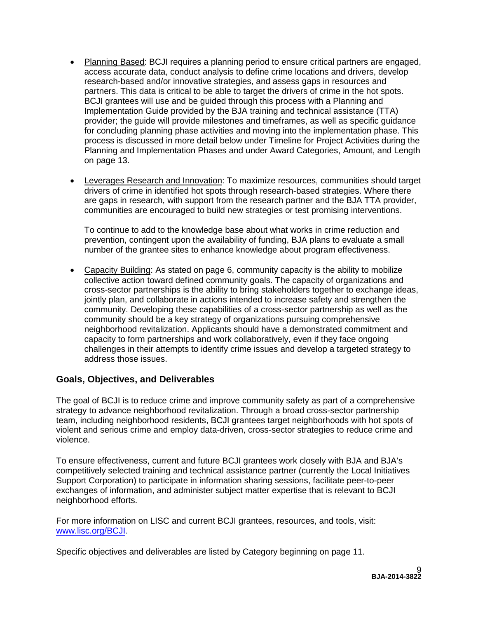- Planning Based: BCJI requires a planning period to ensure critical partners are engaged, access accurate data, conduct analysis to define crime locations and drivers, develop research-based and/or innovative strategies, and assess gaps in resources and partners. This data is critical to be able to target the drivers of crime in the hot spots. BCJI grantees will use and be guided through this process with a Planning and Implementation Guide provided by the BJA training and technical assistance (TTA) provider; the guide will provide milestones and timeframes, as well as specific guidance for concluding planning phase activities and moving into the implementation phase. This process is discussed in more detail below under Timeline for Project Activities during the Planning and Implementation Phases and under Award Categories, Amount, and Length on page 13.
- Leverages Research and Innovation: To maximize resources, communities should target drivers of crime in identified hot spots through research-based strategies. Where there are gaps in research, with support from the research partner and the BJA TTA provider, communities are encouraged to build new strategies or test promising interventions.

To continue to add to the knowledge base about what works in crime reduction and prevention, contingent upon the availability of funding, BJA plans to evaluate a small number of the grantee sites to enhance knowledge about program effectiveness.

• Capacity Building: As stated on page 6, community capacity is the ability to mobilize collective action toward defined community goals. The capacity of organizations and cross-sector partnerships is the ability to bring stakeholders together to exchange ideas, jointly plan, and collaborate in actions intended to increase safety and strengthen the community. Developing these capabilities of a cross-sector partnership as well as the community should be a key strategy of organizations pursuing comprehensive neighborhood revitalization. Applicants should have a demonstrated commitment and capacity to form partnerships and work collaboratively, even if they face ongoing challenges in their attempts to identify crime issues and develop a targeted strategy to address those issues.

# **Goals, Objectives, and Deliverables**

The goal of BCJI is to reduce crime and improve community safety as part of a comprehensive strategy to advance neighborhood revitalization. Through a broad cross-sector partnership team, including neighborhood residents, BCJI grantees target neighborhoods with hot spots of violent and serious crime and employ data-driven, cross-sector strategies to reduce crime and violence.

To ensure effectiveness, current and future BCJI grantees work closely with BJA and BJA's competitively selected training and technical assistance partner (currently the Local Initiatives Support Corporation) to participate in information sharing sessions, facilitate peer-to-peer exchanges of information, and administer subject matter expertise that is relevant to BCJI neighborhood efforts.

For more information on LISC and current BCJI grantees, resources, and tools, visit: [www.lisc.org/BCJI.](http://www.lisc.org/BCJI)

Specific objectives and deliverables are listed by Category beginning on page 11.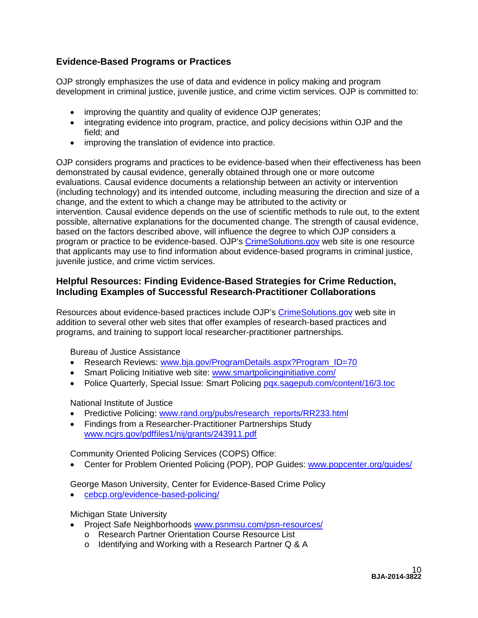# **Evidence-Based Programs or Practices**

OJP strongly emphasizes the use of data and evidence in policy making and program development in criminal justice, juvenile justice, and crime victim services. OJP is committed to:

- improving the quantity and quality of evidence OJP generates;
- integrating evidence into program, practice, and policy decisions within OJP and the field; and
- improving the translation of evidence into practice.

OJP considers programs and practices to be evidence-based when their effectiveness has been demonstrated by causal evidence, generally obtained through one or more outcome evaluations. Causal evidence documents a relationship between an activity or intervention (including technology) and its intended outcome, including measuring the direction and size of a change, and the extent to which a change may be attributed to the activity or intervention. Causal evidence depends on the use of scientific methods to rule out, to the extent possible, alternative explanations for the documented change. The strength of causal evidence, based on the factors described above, will influence the degree to which OJP considers a program or practice to be evidence-based. OJP's [CrimeSolutions.gov](http://www.crimesolutions.gov/) web site is one resource that applicants may use to find information about evidence-based programs in criminal justice, juvenile justice, and crime victim services.

# **Helpful Resources: Finding Evidence-Based Strategies for Crime Reduction, Including Examples of Successful Research-Practitioner Collaborations**

Resources about evidence-based practices include OJP's [CrimeSolutions.gov](http://www.crimesolutions.gov/) web site in addition to several other web sites that offer examples of research-based practices and programs, and training to support local researcher-practitioner partnerships.

Bureau of Justice Assistance

- Research Reviews: [www.bja.gov/ProgramDetails.aspx?Program\\_ID=70](http://www.bja.gov/ProgramDetails.aspx?Program_ID=70)
- Smart Policing Initiative web site: [www.smartpolicinginitiative.com/](http://www.smartpolicinginitiative.com/)
- Police Quarterly, Special Issue: Smart Policing [pqx.sagepub.com/content/16/3.toc](http://pqx.sagepub.com/content/16/3.toc)

National Institute of Justice

- Predictive Policing: [www.rand.org/pubs/research\\_reports/RR233.html](http://www.rand.org/pubs/research_reports/RR233.html)
- Findings from a Researcher‐Practitioner Partnerships Study [www.ncjrs.gov/pdffiles1/nij/grants/243911.pdf](https://www.ncjrs.gov/pdffiles1/nij/grants/243911.pdf)

Community Oriented Policing Services (COPS) Office:

• Center for Problem Oriented Policing (POP), POP Guides: [www.popcenter.org/guides/](http://www.popcenter.org/guides/)

George Mason University, Center for Evidence-Based Crime Policy

• [cebcp.org/evidence-based-policing/](http://cebcp.org/evidence-based-policing/)

Michigan State University

- Project Safe Neighborhoods [www.psnmsu.com/psn-resources/](http://www.psnmsu.com/psn-resources/)
	- o Research Partner Orientation Course Resource List
	- o Identifying and Working with a Research Partner Q & A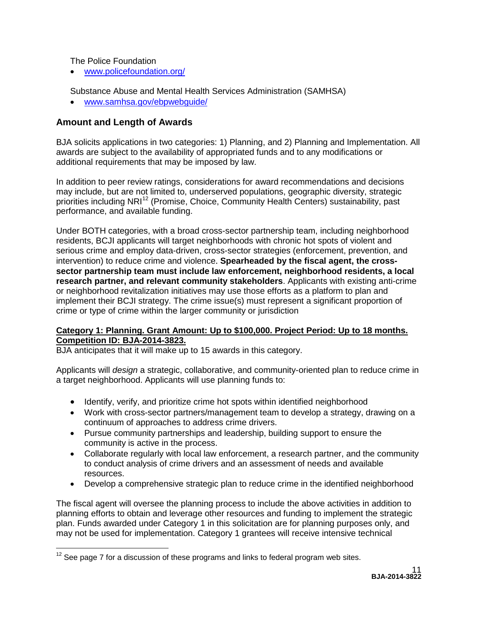The Police Foundation

• [www.policefoundation.org/](http://www.policefoundation.org/)

Substance Abuse and Mental Health Services Administration (SAMHSA)

• [www.samhsa.gov/ebpwebguide/](http://www.samhsa.gov/ebpwebguide/)

# **Amount and Length of Awards**

BJA solicits applications in two categories: 1) Planning, and 2) Planning and Implementation. All awards are subject to the availability of appropriated funds and to any modifications or additional requirements that may be imposed by law.

In addition to peer review ratings, considerations for award recommendations and decisions may include, but are not limited to, underserved populations, geographic diversity, strategic priorities including NRI<sup>[12](#page-10-0)</sup> (Promise, Choice, Community Health Centers) sustainability, past performance, and available funding.

Under BOTH categories, with a broad cross-sector partnership team, including neighborhood residents, BCJI applicants will target neighborhoods with chronic hot spots of violent and serious crime and employ data-driven, cross-sector strategies (enforcement, prevention, and intervention) to reduce crime and violence. **Spearheaded by the fiscal agent, the crosssector partnership team must include law enforcement, neighborhood residents, a local research partner, and relevant community stakeholders**. Applicants with existing anti-crime or neighborhood revitalization initiatives may use those efforts as a platform to plan and implement their BCJI strategy. The crime issue(s) must represent a significant proportion of crime or type of crime within the larger community or jurisdiction

#### **Category 1: Planning. Grant Amount: Up to \$100,000. Project Period: Up to 18 months. Competition ID: BJA-2014-3823.**

BJA anticipates that it will make up to 15 awards in this category.

Applicants will *design* a strategic, collaborative, and community-oriented plan to reduce crime in a target neighborhood. Applicants will use planning funds to:

- Identify, verify, and prioritize crime hot spots within identified neighborhood
- Work with cross-sector partners/management team to develop a strategy, drawing on a continuum of approaches to address crime drivers.
- Pursue community partnerships and leadership, building support to ensure the community is active in the process.
- Collaborate regularly with local law enforcement, a research partner, and the community to conduct analysis of crime drivers and an assessment of needs and available resources.
- Develop a comprehensive strategic plan to reduce crime in the identified neighborhood

The fiscal agent will oversee the planning process to include the above activities in addition to planning efforts to obtain and leverage other resources and funding to implement the strategic plan. Funds awarded under Category 1 in this solicitation are for planning purposes only, and may not be used for implementation. Category 1 grantees will receive intensive technical

<span id="page-10-0"></span> $12$  See page 7 for a discussion of these programs and links to federal program web sites.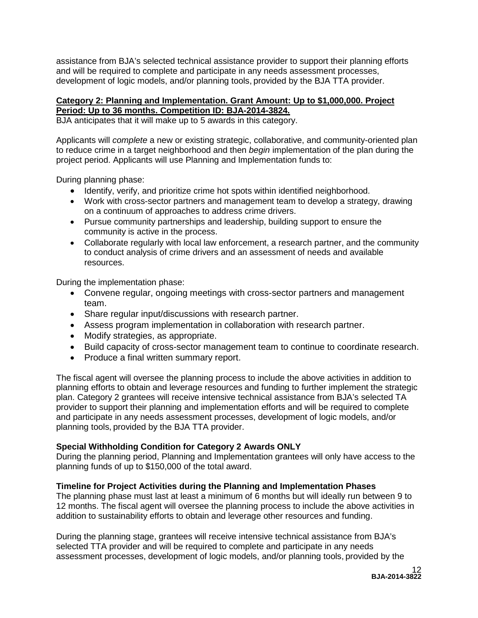assistance from BJA's selected technical assistance provider to support their planning efforts and will be required to complete and participate in any needs assessment processes, development of logic models, and/or planning tools, provided by the BJA TTA provider.

# **Category 2: Planning and Implementation. Grant Amount: Up to \$1,000,000. Project Period: Up to 36 months. Competition ID: BJA-2014-3824.**

BJA anticipates that it will make up to 5 awards in this category.

Applicants will *complete* a new or existing strategic, collaborative, and community-oriented plan to reduce crime in a target neighborhood and then *begin* implementation of the plan during the project period. Applicants will use Planning and Implementation funds to:

During planning phase:

- Identify, verify, and prioritize crime hot spots within identified neighborhood.
- Work with cross-sector partners and management team to develop a strategy, drawing on a continuum of approaches to address crime drivers.
- Pursue community partnerships and leadership, building support to ensure the community is active in the process.
- Collaborate regularly with local law enforcement, a research partner, and the community to conduct analysis of crime drivers and an assessment of needs and available resources.

During the implementation phase:

- Convene regular, ongoing meetings with cross-sector partners and management team.
- Share regular input/discussions with research partner.
- Assess program implementation in collaboration with research partner.
- Modify strategies, as appropriate.
- Build capacity of cross-sector management team to continue to coordinate research.
- Produce a final written summary report.

The fiscal agent will oversee the planning process to include the above activities in addition to planning efforts to obtain and leverage resources and funding to further implement the strategic plan. Category 2 grantees will receive intensive technical assistance from BJA's selected TA provider to support their planning and implementation efforts and will be required to complete and participate in any needs assessment processes, development of logic models, and/or planning tools, provided by the BJA TTA provider.

### **Special Withholding Condition for Category 2 Awards ONLY**

During the planning period, Planning and Implementation grantees will only have access to the planning funds of up to \$150,000 of the total award.

### **Timeline for Project Activities during the Planning and Implementation Phases**

The planning phase must last at least a minimum of 6 months but will ideally run between 9 to 12 months. The fiscal agent will oversee the planning process to include the above activities in addition to sustainability efforts to obtain and leverage other resources and funding.

During the planning stage, grantees will receive intensive technical assistance from BJA's selected TTA provider and will be required to complete and participate in any needs assessment processes, development of logic models, and/or planning tools, provided by the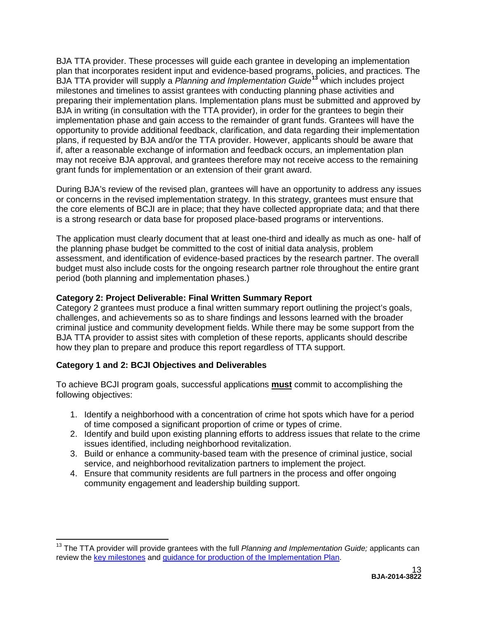BJA TTA provider. These processes will guide each grantee in developing an implementation plan that incorporates resident input and evidence-based programs, policies, and practices. The BJA TTA provider will supply a *Planning and Implementation Guide***[13](#page-12-0)** which includes project milestones and timelines to assist grantees with conducting planning phase activities and preparing their implementation plans. Implementation plans must be submitted and approved by BJA in writing (in consultation with the TTA provider), in order for the grantees to begin their implementation phase and gain access to the remainder of grant funds. Grantees will have the opportunity to provide additional feedback, clarification, and data regarding their implementation plans, if requested by BJA and/or the TTA provider. However, applicants should be aware that if, after a reasonable exchange of information and feedback occurs, an implementation plan may not receive BJA approval, and grantees therefore may not receive access to the remaining grant funds for implementation or an extension of their grant award.

During BJA's review of the revised plan, grantees will have an opportunity to address any issues or concerns in the revised implementation strategy. In this strategy, grantees must ensure that the core elements of BCJI are in place; that they have collected appropriate data; and that there is a strong research or data base for proposed place-based programs or interventions.

The application must clearly document that at least one-third and ideally as much as one- half of the planning phase budget be committed to the cost of initial data analysis, problem assessment, and identification of evidence-based practices by the research partner. The overall budget must also include costs for the ongoing research partner role throughout the entire grant period (both planning and implementation phases.)

# **Category 2: Project Deliverable: Final Written Summary Report**

Category 2 grantees must produce a final written summary report outlining the project's goals, challenges, and achievements so as to share findings and lessons learned with the broader criminal justice and community development fields. While there may be some support from the BJA TTA provider to assist sites with completion of these reports, applicants should describe how they plan to prepare and produce this report regardless of TTA support.

# **Category 1 and 2: BCJI Objectives and Deliverables**

To achieve BCJI program goals, successful applications **must** commit to accomplishing the following objectives:

- 1. Identify a neighborhood with a concentration of crime hot spots which have for a period of time composed a significant proportion of crime or types of crime.
- 2. Identify and build upon existing planning efforts to address issues that relate to the crime issues identified, including neighborhood revitalization.
- 3. Build or enhance a community-based team with the presence of criminal justice, social service, and neighborhood revitalization partners to implement the project.
- 4. Ensure that community residents are full partners in the process and offer ongoing community engagement and leadership building support.

<span id="page-12-0"></span><sup>13</sup> The TTA provider will provide grantees with the full *Planning and Implementation Guide;* applicants can review the [key milestones](https://www.bja.gov/Programs/BCJI-Program-Milestones.pdf) and [guidance for production of the Implementation Plan.](https://www.bja.gov/Programs/BCJI-Impl-Plan-Guidelines.pdf)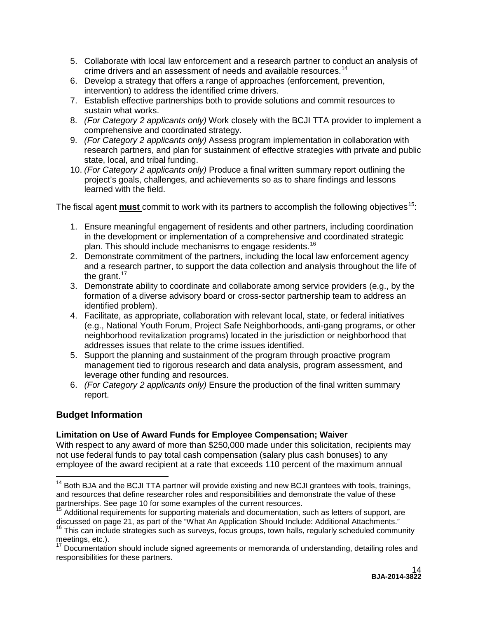- 5. Collaborate with local law enforcement and a research partner to conduct an analysis of crime drivers and an assessment of needs and available resources.<sup>[14](#page-13-0)</sup>
- 6. Develop a strategy that offers a range of approaches (enforcement, prevention, intervention) to address the identified crime drivers.
- 7. Establish effective partnerships both to provide solutions and commit resources to sustain what works.
- 8. *(For Category 2 applicants only)* Work closely with the BCJI TTA provider to implement a comprehensive and coordinated strategy.
- 9. *(For Category 2 applicants only)* Assess program implementation in collaboration with research partners, and plan for sustainment of effective strategies with private and public state, local, and tribal funding.
- 10. *(For Category 2 applicants only)* Produce a final written summary report outlining the project's goals, challenges, and achievements so as to share findings and lessons learned with the field.

The fiscal agent **must** commit to work with its partners to accomplish the following objectives<sup>15</sup>:

- 1. Ensure meaningful engagement of residents and other partners, including coordination in the development or implementation of a comprehensive and coordinated strategic plan. This should include mechanisms to engage residents.<sup>[16](#page-13-2)</sup>
- 2. Demonstrate commitment of the partners, including the local law enforcement agency and a research partner, to support the data collection and analysis throughout the life of the grant. $17$
- 3. Demonstrate ability to coordinate and collaborate among service providers (e.g., by the formation of a diverse advisory board or cross-sector partnership team to address an identified problem).
- 4. Facilitate, as appropriate, collaboration with relevant local, state, or federal initiatives (e.g., National Youth Forum, Project Safe Neighborhoods, anti-gang programs, or other neighborhood revitalization programs) located in the jurisdiction or neighborhood that addresses issues that relate to the crime issues identified.
- 5. Support the planning and sustainment of the program through proactive program management tied to rigorous research and data analysis, program assessment, and leverage other funding and resources.
- 6. *(For Category 2 applicants only)* Ensure the production of the final written summary report.

# **Budget Information**

# **Limitation on Use of Award Funds for Employee Compensation; Waiver**

With respect to any award of more than \$250,000 made under this solicitation, recipients may not use federal funds to pay total cash compensation (salary plus cash bonuses) to any employee of the award recipient at a rate that exceeds 110 percent of the maximum annual

<span id="page-13-0"></span> $14$  Both BJA and the BCJI TTA partner will provide existing and new BCJI grantees with tools, trainings, and resources that define researcher roles and responsibilities and demonstrate the value of these partnerships. See page 10 for some examples of the current resources.<br><sup>15</sup> Additional requirements for supporting materials and documentation, such as letters of support, are

<span id="page-13-2"></span><span id="page-13-1"></span>discussed on page 21, as part of the "What An Application Should Include: Additional Attachments."<br><sup>16</sup> This can include strategies such as surveys, focus groups, town halls, regularly scheduled community<br>meetings, etc.).

<span id="page-13-3"></span> $17$  Documentation should include signed agreements or memoranda of understanding, detailing roles and responsibilities for these partners.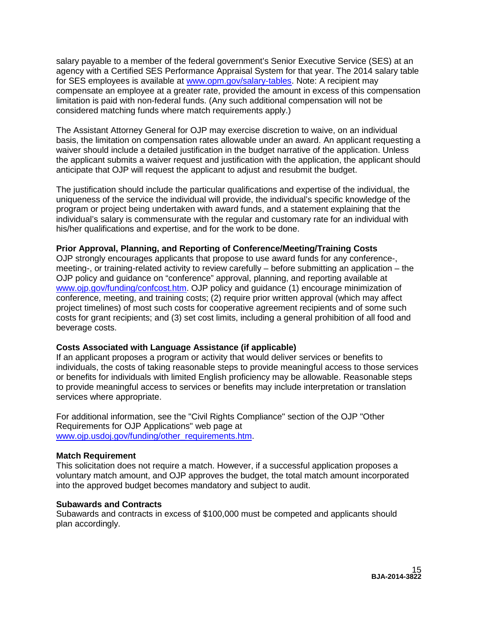salary payable to a member of the federal government's Senior Executive Service (SES) at an agency with a Certified SES Performance Appraisal System for that year. The 2014 salary table for SES employees is available at [www.opm.gov/salary-tables.](http://www.opm.gov/policy-data-oversight/pay-leave/salaries-wages/salary-tables/14Tables/exec/html/ES.aspx) Note: A recipient may compensate an employee at a greater rate, provided the amount in excess of this compensation limitation is paid with non-federal funds. (Any such additional compensation will not be considered matching funds where match requirements apply.)

The Assistant Attorney General for OJP may exercise discretion to waive, on an individual basis, the limitation on compensation rates allowable under an award. An applicant requesting a waiver should include a detailed justification in the budget narrative of the application. Unless the applicant submits a waiver request and justification with the application, the applicant should anticipate that OJP will request the applicant to adjust and resubmit the budget.

The justification should include the particular qualifications and expertise of the individual, the uniqueness of the service the individual will provide, the individual's specific knowledge of the program or project being undertaken with award funds, and a statement explaining that the individual's salary is commensurate with the regular and customary rate for an individual with his/her qualifications and expertise, and for the work to be done.

#### **Prior Approval, Planning, and Reporting of Conference/Meeting/Training Costs**

OJP strongly encourages applicants that propose to use award funds for any conference-, meeting-, or training-related activity to review carefully – before submitting an application – the OJP policy and guidance on "conference" approval, planning, and reporting available at [www.ojp.gov/funding/confcost.htm.](http://www.ojp.gov/funding/confcost.htm) OJP policy and guidance (1) encourage minimization of conference, meeting, and training costs; (2) require prior written approval (which may affect project timelines) of most such costs for cooperative agreement recipients and of some such costs for grant recipients; and (3) set cost limits, including a general prohibition of all food and beverage costs.

### **Costs Associated with Language Assistance (if applicable)**

If an applicant proposes a program or activity that would deliver services or benefits to individuals, the costs of taking reasonable steps to provide meaningful access to those services or benefits for individuals with limited English proficiency may be allowable. Reasonable steps to provide meaningful access to services or benefits may include interpretation or translation services where appropriate.

For additional information, see the "Civil Rights Compliance" section of the OJP "Other Requirements for OJP Applications" web page at [www.ojp.usdoj.gov/funding/other\\_requirements.htm.](http://www.ojp.usdoj.gov/funding/other_requirements.htm)

#### **Match Requirement**

This solicitation does not require a match. However, if a successful application proposes a voluntary match amount, and OJP approves the budget, the total match amount incorporated into the approved budget becomes mandatory and subject to audit.

#### **Subawards and Contracts**

Subawards and contracts in excess of \$100,000 must be competed and applicants should plan accordingly.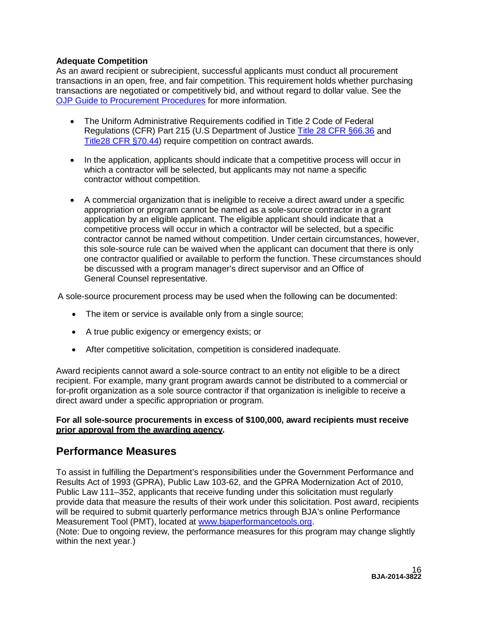# **Adequate Competition**

As an award recipient or subrecipient, successful applicants must conduct all procurement transactions in an open, free, and fair competition. This requirement holds whether purchasing transactions are negotiated or competitively bid, and without regard to dollar value. See the [OJP Guide to Procurement Procedures](http://www.ojp.gov/financialguide/PDFs/New%20Procurement%20Guide_508compliant.pdf) for more information.

- The Uniform Administrative Requirements codified in Title 2 Code of Federal Regulations (CFR) Part 215 (U.S Department of Justice Title 28 [CFR §66.36](http://www.gpo.gov/fdsys/pkg/CFR-2010-title28-vol2/pdf/CFR-2010-title28-vol2-sec66-36.pdf) and [Title2](http://www.gpo.gov/fdsys/pkg/CFR-2010-title28-vol2/pdf/CFR-2010-title28-vol2-sec70-44.pdf)8 [CFR §70.44\)](http://www.gpo.gov/fdsys/pkg/CFR-2010-title28-vol2/pdf/CFR-2010-title28-vol2-sec70-44.pdf) require competition on contract awards.
- In the application, applicants should indicate that a competitive process will occur in which a contractor will be selected, but applicants may not name a specific contractor without competition.
- A commercial organization that is ineligible to receive a direct award under a specific appropriation or program cannot be named as a sole-source contractor in a grant application by an eligible applicant. The eligible applicant should indicate that a competitive process will occur in which a contractor will be selected, but a specific contractor cannot be named without competition. Under certain circumstances, however, this sole-source rule can be waived when the applicant can document that there is only one contractor qualified or available to perform the function. These circumstances should be discussed with a program manager's direct supervisor and an Office of General Counsel representative.

A sole-source procurement process may be used when the following can be documented:

- The item or service is available only from a single source;
- A true public exigency or emergency exists; or
- After competitive solicitation, competition is considered inadequate.

Award recipients cannot award a sole-source contract to an entity not eligible to be a direct recipient. For example, many grant program awards cannot be distributed to a commercial or for-profit organization as a sole source contractor if that organization is ineligible to receive a direct award under a specific appropriation or program.

#### **For all sole-source procurements in excess of \$100,000, award recipients must receive prior approval from the awarding agency.**

# <span id="page-15-0"></span>**Performance Measures**

To assist in fulfilling the Department's responsibilities under the Government Performance and Results Act of 1993 (GPRA), Public Law 103-62, and the GPRA Modernization Act of 2010, Public Law 111–352, applicants that receive funding under this solicitation must regularly provide data that measure the results of their work under this solicitation. Post award, recipients will be required to submit quarterly performance metrics through BJA's online Performance Measurement Tool (PMT), located at [www.bjaperformancetools.org.](http://www.bjaperformancetools.org/)

(Note: Due to ongoing review, the performance measures for this program may change slightly within the next year.)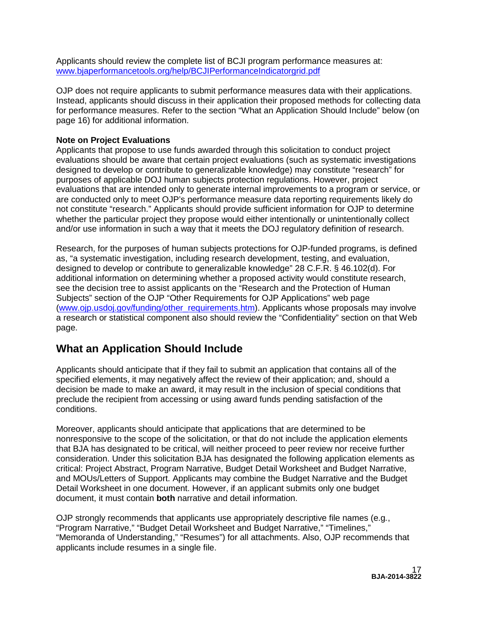Applicants should review the complete list of BCJI program performance measures at: [www.bjaperformancetools.org/help/BCJIPerformanceIndicatorgrid.pdf](https://www.bjaperformancetools.org/help/BCJIPerformanceIndicatorgrid.pdf)

OJP does not require applicants to submit performance measures data with their applications. Instead, applicants should discuss in their application their proposed methods for collecting data for performance measures. Refer to the section "What an Application Should Include" below (on page 16) for additional information.

# **Note on Project Evaluations**

Applicants that propose to use funds awarded through this solicitation to conduct project evaluations should be aware that certain project evaluations (such as systematic investigations designed to develop or contribute to generalizable knowledge) may constitute "research" for purposes of applicable DOJ human subjects protection regulations. However, project evaluations that are intended only to generate internal improvements to a program or service, or are conducted only to meet OJP's performance measure data reporting requirements likely do not constitute "research." Applicants should provide sufficient information for OJP to determine whether the particular project they propose would either intentionally or unintentionally collect and/or use information in such a way that it meets the DOJ regulatory definition of research.

Research, for the purposes of human subjects protections for OJP-funded programs, is defined as, "a systematic investigation, including research development, testing, and evaluation, designed to develop or contribute to generalizable knowledge" 28 C.F.R. § 46.102(d). For additional information on determining whether a proposed activity would constitute research, see the decision tree to assist applicants on the "Research and the Protection of Human Subjects" section of the OJP "Other Requirements for OJP Applications" web page [\(www.ojp.usdoj.gov/funding/other\\_requirements.htm\)](http://www.ojp.usdoj.gov/funding/other_requirements.htm). Applicants whose proposals may involve a research or statistical component also should review the "Confidentiality" section on that Web page.

# <span id="page-16-0"></span>**What an Application Should Include**

Applicants should anticipate that if they fail to submit an application that contains all of the specified elements, it may negatively affect the review of their application; and, should a decision be made to make an award, it may result in the inclusion of special conditions that preclude the recipient from accessing or using award funds pending satisfaction of the conditions.

Moreover, applicants should anticipate that applications that are determined to be nonresponsive to the scope of the solicitation, or that do not include the application elements that BJA has designated to be critical, will neither proceed to peer review nor receive further consideration. Under this solicitation BJA has designated the following application elements as critical: Project Abstract, Program Narrative, Budget Detail Worksheet and Budget Narrative, and MOUs/Letters of Support. Applicants may combine the Budget Narrative and the Budget Detail Worksheet in one document. However, if an applicant submits only one budget document, it must contain **both** narrative and detail information.

OJP strongly recommends that applicants use appropriately descriptive file names (e.g*.*, "Program Narrative," "Budget Detail Worksheet and Budget Narrative," "Timelines," "Memoranda of Understanding," "Resumes") for all attachments. Also, OJP recommends that applicants include resumes in a single file.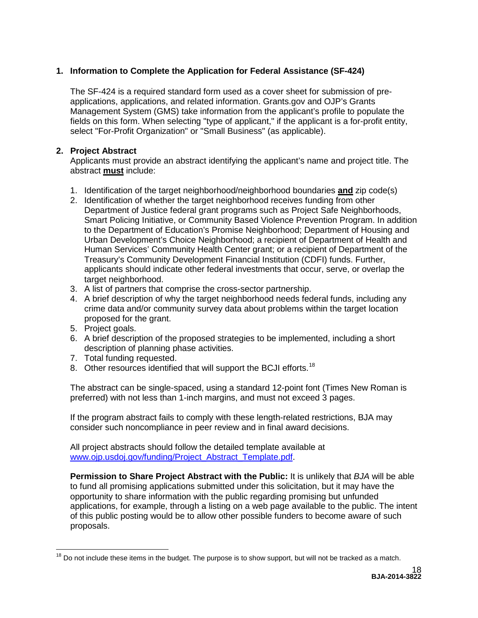# <span id="page-17-0"></span>**1. Information to Complete the Application for Federal Assistance (SF-424)**

The SF-424 is a required standard form used as a cover sheet for submission of preapplications, applications, and related information. Grants.gov and OJP's Grants Management System (GMS) take information from the applicant's profile to populate the fields on this form. When selecting "type of applicant," if the applicant is a for-profit entity, select "For-Profit Organization" or "Small Business" (as applicable).

# **2. Project Abstract**

Applicants must provide an abstract identifying the applicant's name and project title. The abstract **must** include:

- 1. Identification of the target neighborhood/neighborhood boundaries **and** zip code(s)
- 2. Identification of whether the target neighborhood receives funding from other Department of Justice federal grant programs such as Project Safe Neighborhoods, Smart Policing Initiative, or Community Based Violence Prevention Program. In addition to the Department of Education's Promise Neighborhood; Department of Housing and Urban Development's Choice Neighborhood; a recipient of Department of Health and Human Services' Community Health Center grant; or a recipient of Department of the Treasury's Community Development Financial Institution (CDFI) funds. Further, applicants should indicate other federal investments that occur, serve, or overlap the target neighborhood.
- 3. A list of partners that comprise the cross-sector partnership.
- 4. A brief description of why the target neighborhood needs federal funds, including any crime data and/or community survey data about problems within the target location proposed for the grant.
- 5. Project goals.
- 6. A brief description of the proposed strategies to be implemented, including a short description of planning phase activities.
- 7. Total funding requested.
- 8. Other resources identified that will support the BCJI efforts.<sup>[18](#page-17-1)</sup>

The abstract can be single-spaced, using a standard 12-point font (Times New Roman is preferred) with not less than 1-inch margins, and must not exceed 3 pages.

If the program abstract fails to comply with these length-related restrictions, BJA may consider such noncompliance in peer review and in final award decisions.

All project abstracts should follow the detailed template available at [www.ojp.usdoj.gov/funding/Project\\_Abstract\\_Template.pdf.](http://www.ojp.usdoj.gov/funding/Project_Abstract_Template.pdf)

**Permission to Share Project Abstract with the Public:** It is unlikely that *BJA* will be able to fund all promising applications submitted under this solicitation, but it may have the opportunity to share information with the public regarding promising but unfunded applications, for example, through a listing on a web page available to the public. The intent of this public posting would be to allow other possible funders to become aware of such proposals.

<span id="page-17-1"></span> $18$  Do not include these items in the budget. The purpose is to show support, but will not be tracked as a match.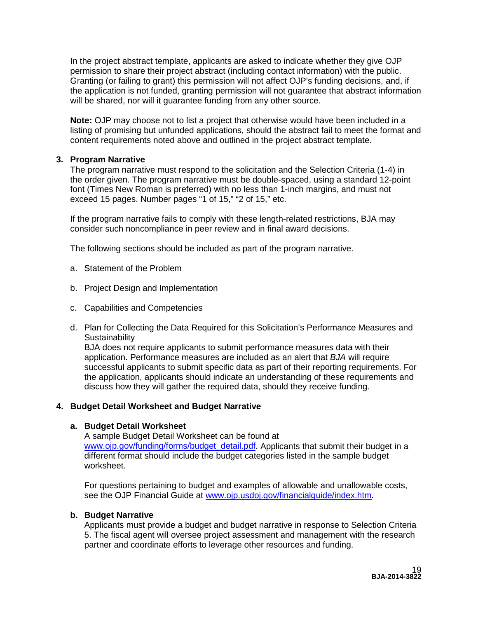In the project abstract template, applicants are asked to indicate whether they give OJP permission to share their project abstract (including contact information) with the public. Granting (or failing to grant) this permission will not affect OJP's funding decisions, and, if the application is not funded, granting permission will not guarantee that abstract information will be shared, nor will it guarantee funding from any other source.

**Note:** OJP may choose not to list a project that otherwise would have been included in a listing of promising but unfunded applications, should the abstract fail to meet the format and content requirements noted above and outlined in the project abstract template.

# <span id="page-18-0"></span>**3. Program Narrative**

The program narrative must respond to the solicitation and the Selection Criteria (1-4) in the order given. The program narrative must be double-spaced, using a standard 12-point font (Times New Roman is preferred) with no less than 1-inch margins, and must not exceed 15 pages. Number pages "1 of 15," "2 of 15," etc.

If the program narrative fails to comply with these length-related restrictions, BJA may consider such noncompliance in peer review and in final award decisions.

The following sections should be included as part of the program narrative.

- a. Statement of the Problem
- b. Project Design and Implementation
- c. Capabilities and Competencies
- d. Plan for Collecting the Data Required for this Solicitation's Performance Measures and **Sustainability**

BJA does not require applicants to submit performance measures data with their application. Performance measures are included as an alert that *BJA* will require successful applicants to submit specific data as part of their reporting requirements. For the application, applicants should indicate an understanding of these requirements and discuss how they will gather the required data, should they receive funding.

### <span id="page-18-1"></span>**4. Budget Detail Worksheet and Budget Narrative**

### **a. Budget Detail Worksheet**

A sample Budget Detail Worksheet can be found at [www.ojp.gov/funding/forms/budget\\_detail.pdf.](http://www.ojp.gov/funding/forms/budget_detail.pdf) Applicants that submit their budget in a different format should include the budget categories listed in the sample budget worksheet.

For questions pertaining to budget and examples of allowable and unallowable costs, see the OJP Financial Guide at [www.ojp.usdoj.gov/financialguide/index.htm](http://www.ojp.usdoj.gov/financialguide/index.htm)*.*

# **b. Budget Narrative**

Applicants must provide a budget and budget narrative in response to Selection Criteria 5. The fiscal agent will oversee project assessment and management with the research partner and coordinate efforts to leverage other resources and funding.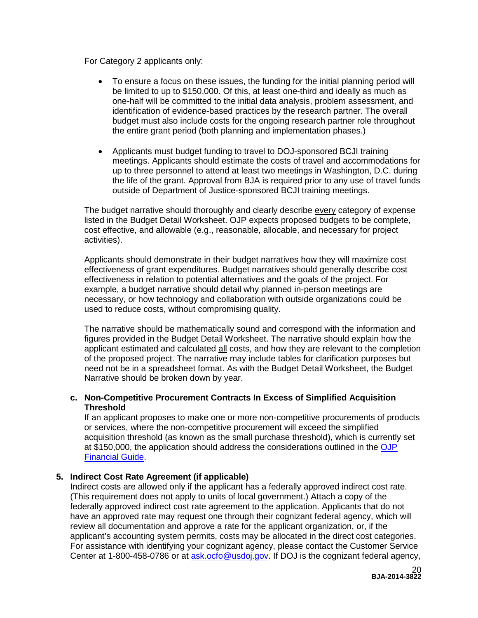For Category 2 applicants only:

- To ensure a focus on these issues, the funding for the initial planning period will be limited to up to \$150,000. Of this, at least one-third and ideally as much as one-half will be committed to the initial data analysis, problem assessment, and identification of evidence-based practices by the research partner. The overall budget must also include costs for the ongoing research partner role throughout the entire grant period (both planning and implementation phases.)
- Applicants must budget funding to travel to DOJ-sponsored BCJI training meetings. Applicants should estimate the costs of travel and accommodations for up to three personnel to attend at least two meetings in Washington, D.C. during the life of the grant. Approval from BJA is required prior to any use of travel funds outside of Department of Justice-sponsored BCJI training meetings.

The budget narrative should thoroughly and clearly describe every category of expense listed in the Budget Detail Worksheet. OJP expects proposed budgets to be complete, cost effective, and allowable (e.g., reasonable, allocable, and necessary for project activities).

Applicants should demonstrate in their budget narratives how they will maximize cost effectiveness of grant expenditures. Budget narratives should generally describe cost effectiveness in relation to potential alternatives and the goals of the project. For example, a budget narrative should detail why planned in-person meetings are necessary, or how technology and collaboration with outside organizations could be used to reduce costs, without compromising quality.

The narrative should be mathematically sound and correspond with the information and figures provided in the Budget Detail Worksheet. The narrative should explain how the applicant estimated and calculated all costs, and how they are relevant to the completion of the proposed project. The narrative may include tables for clarification purposes but need not be in a spreadsheet format. As with the Budget Detail Worksheet, the Budget Narrative should be broken down by year.

### **c. Non-Competitive Procurement Contracts In Excess of Simplified Acquisition Threshold**

If an applicant proposes to make one or more non-competitive procurements of products or services, where the non-competitive procurement will exceed the simplified acquisition threshold (as known as the small purchase threshold), which is currently set at \$150,000, the application should address the considerations outlined in the [OJP](http://www.ojp.usdoj.gov/financialguide/index.htm)  [Financial Guide.](http://www.ojp.usdoj.gov/financialguide/index.htm)

### <span id="page-19-0"></span>**5. Indirect Cost Rate Agreement (if applicable)**

Indirect costs are allowed only if the applicant has a federally approved indirect cost rate. (This requirement does not apply to units of local government.) Attach a copy of the federally approved indirect cost rate agreement to the application. Applicants that do not have an approved rate may request one through their cognizant federal agency, which will review all documentation and approve a rate for the applicant organization, or, if the applicant's accounting system permits, costs may be allocated in the direct cost categories. For assistance with identifying your cognizant agency, please contact the Customer Service Center at 1-800-458-0786 or at [ask.ocfo@usdoj.gov.](mailto:ask.ocfo@usdoj.gov) If DOJ is the cognizant federal agency,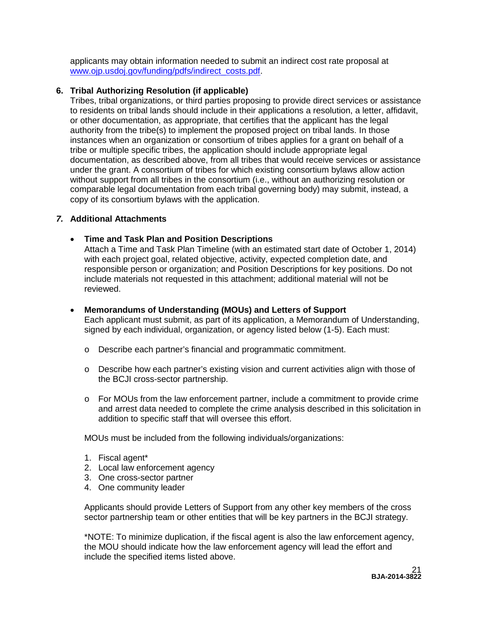applicants may obtain information needed to submit an indirect cost rate proposal at [www.ojp.usdoj.gov/funding/pdfs/indirect\\_costs.pdf.](http://www.ojp.usdoj.gov/funding/pdfs/indirect_costs.pdf)

# <span id="page-20-0"></span>**6. Tribal Authorizing Resolution (if applicable)**

Tribes, tribal organizations, or third parties proposing to provide direct services or assistance to residents on tribal lands should include in their applications a resolution, a letter, affidavit, or other documentation, as appropriate, that certifies that the applicant has the legal authority from the tribe(s) to implement the proposed project on tribal lands. In those instances when an organization or consortium of tribes applies for a grant on behalf of a tribe or multiple specific tribes, the application should include appropriate legal documentation, as described above, from all tribes that would receive services or assistance under the grant. A consortium of tribes for which existing consortium bylaws allow action without support from all tribes in the consortium (i.e., without an authorizing resolution or comparable legal documentation from each tribal governing body) may submit, instead, a copy of its consortium bylaws with the application.

### <span id="page-20-1"></span>*7.* **Additional Attachments**

#### • **Time and Task Plan and Position Descriptions**

Attach a Time and Task Plan Timeline (with an estimated start date of October 1, 2014) with each project goal, related objective, activity, expected completion date, and responsible person or organization; and Position Descriptions for key positions. Do not include materials not requested in this attachment; additional material will not be reviewed.

- **Memorandums of Understanding (MOUs) and Letters of Support**  Each applicant must submit, as part of its application, a Memorandum of Understanding, signed by each individual, organization, or agency listed below (1-5). Each must:
	- o Describe each partner's financial and programmatic commitment.
	- $\circ$  Describe how each partner's existing vision and current activities align with those of the BCJI cross-sector partnership.
	- o For MOUs from the law enforcement partner, include a commitment to provide crime and arrest data needed to complete the crime analysis described in this solicitation in addition to specific staff that will oversee this effort.

MOUs must be included from the following individuals/organizations:

- 1. Fiscal agent\*
- 2. Local law enforcement agency
- 3. One cross-sector partner
- 4. One community leader

Applicants should provide Letters of Support from any other key members of the cross sector partnership team or other entities that will be key partners in the BCJI strategy.

\*NOTE: To minimize duplication, if the fiscal agent is also the law enforcement agency, the MOU should indicate how the law enforcement agency will lead the effort and include the specified items listed above.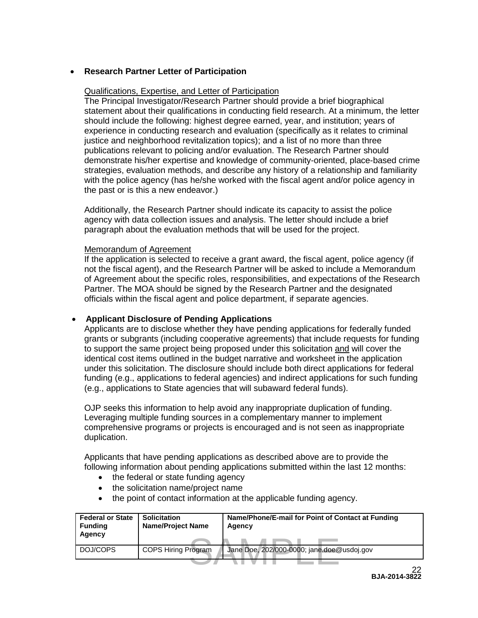# • **Research Partner Letter of Participation**

### Qualifications, Expertise, and Letter of Participation

The Principal Investigator/Research Partner should provide a brief biographical statement about their qualifications in conducting field research. At a minimum, the letter should include the following: highest degree earned, year, and institution; years of experience in conducting research and evaluation (specifically as it relates to criminal justice and neighborhood revitalization topics); and a list of no more than three publications relevant to policing and/or evaluation. The Research Partner should demonstrate his/her expertise and knowledge of community-oriented, place-based crime strategies, evaluation methods, and describe any history of a relationship and familiarity with the police agency (has he/she worked with the fiscal agent and/or police agency in the past or is this a new endeavor.)

Additionally, the Research Partner should indicate its capacity to assist the police agency with data collection issues and analysis. The letter should include a brief paragraph about the evaluation methods that will be used for the project.

#### Memorandum of Agreement

If the application is selected to receive a grant award, the fiscal agent, police agency (if not the fiscal agent), and the Research Partner will be asked to include a Memorandum of Agreement about the specific roles, responsibilities, and expectations of the Research Partner. The MOA should be signed by the Research Partner and the designated officials within the fiscal agent and police department, if separate agencies.

# • **Applicant Disclosure of Pending Applications**

Applicants are to disclose whether they have pending applications for federally funded grants or subgrants (including cooperative agreements) that include requests for funding to support the same project being proposed under this solicitation and will cover the identical cost items outlined in the budget narrative and worksheet in the application under this solicitation. The disclosure should include both direct applications for federal funding (e.g., applications to federal agencies) and indirect applications for such funding (e.g., applications to State agencies that will subaward federal funds).

OJP seeks this information to help avoid any inappropriate duplication of funding. Leveraging multiple funding sources in a complementary manner to implement comprehensive programs or projects is encouraged and is not seen as inappropriate duplication.

Applicants that have pending applications as described above are to provide the following information about pending applications submitted within the last 12 months:

- the federal or state funding agency
- the solicitation name/project name
- the point of contact information at the applicable funding agency.

| <b>Federal or State</b><br><b>Funding</b><br>Agency | <b>Solicitation</b><br><b>Name/Project Name</b> | Name/Phone/E-mail for Point of Contact at Funding<br>Agency |  |
|-----------------------------------------------------|-------------------------------------------------|-------------------------------------------------------------|--|
| DOJ/COPS                                            | <b>COPS Hiring Program</b>                      | Jane Doe, 202/000-0000; jane.doe@usdoj.gov                  |  |
|                                                     |                                                 | 22                                                          |  |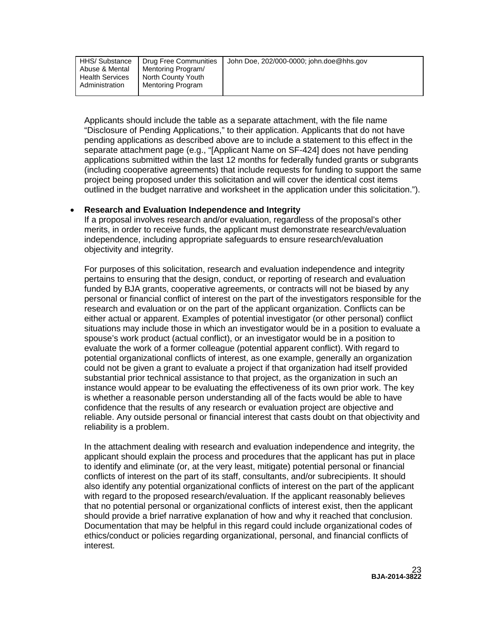| HHS/ Substance<br><b>Drug Free Communities</b><br>Mentoring Program/<br>Abuse & Mental<br>North County Youth<br><b>Health Services</b><br>Mentoring Program<br>Administration | John Doe, 202/000-0000; john.doe@hhs.gov |
|-------------------------------------------------------------------------------------------------------------------------------------------------------------------------------|------------------------------------------|
|-------------------------------------------------------------------------------------------------------------------------------------------------------------------------------|------------------------------------------|

Applicants should include the table as a separate attachment, with the file name "Disclosure of Pending Applications," to their application. Applicants that do not have pending applications as described above are to include a statement to this effect in the separate attachment page (e.g., "[Applicant Name on SF-424] does not have pending applications submitted within the last 12 months for federally funded grants or subgrants (including cooperative agreements) that include requests for funding to support the same project being proposed under this solicitation and will cover the identical cost items outlined in the budget narrative and worksheet in the application under this solicitation.").

#### • **Research and Evaluation Independence and Integrity**

If a proposal involves research and/or evaluation, regardless of the proposal's other merits, in order to receive funds, the applicant must demonstrate research/evaluation independence, including appropriate safeguards to ensure research/evaluation objectivity and integrity.

For purposes of this solicitation, research and evaluation independence and integrity pertains to ensuring that the design, conduct, or reporting of research and evaluation funded by BJA grants, cooperative agreements, or contracts will not be biased by any personal or financial conflict of interest on the part of the investigators responsible for the research and evaluation or on the part of the applicant organization. Conflicts can be either actual or apparent. Examples of potential investigator (or other personal) conflict situations may include those in which an investigator would be in a position to evaluate a spouse's work product (actual conflict), or an investigator would be in a position to evaluate the work of a former colleague (potential apparent conflict). With regard to potential organizational conflicts of interest, as one example, generally an organization could not be given a grant to evaluate a project if that organization had itself provided substantial prior technical assistance to that project, as the organization in such an instance would appear to be evaluating the effectiveness of its own prior work. The key is whether a reasonable person understanding all of the facts would be able to have confidence that the results of any research or evaluation project are objective and reliable. Any outside personal or financial interest that casts doubt on that objectivity and reliability is a problem.

In the attachment dealing with research and evaluation independence and integrity, the applicant should explain the process and procedures that the applicant has put in place to identify and eliminate (or, at the very least, mitigate) potential personal or financial conflicts of interest on the part of its staff, consultants, and/or subrecipients. It should also identify any potential organizational conflicts of interest on the part of the applicant with regard to the proposed research/evaluation. If the applicant reasonably believes that no potential personal or organizational conflicts of interest exist, then the applicant should provide a brief narrative explanation of how and why it reached that conclusion. Documentation that may be helpful in this regard could include organizational codes of ethics/conduct or policies regarding organizational, personal, and financial conflicts of interest.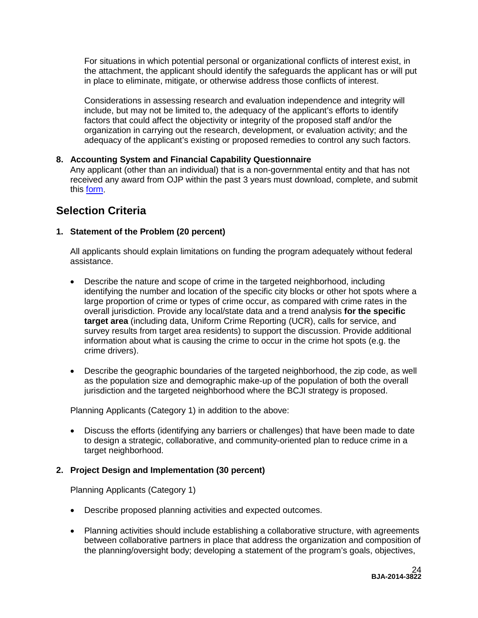For situations in which potential personal or organizational conflicts of interest exist, in the attachment, the applicant should identify the safeguards the applicant has or will put in place to eliminate, mitigate, or otherwise address those conflicts of interest.

Considerations in assessing research and evaluation independence and integrity will include, but may not be limited to, the adequacy of the applicant's efforts to identify factors that could affect the objectivity or integrity of the proposed staff and/or the organization in carrying out the research, development, or evaluation activity; and the adequacy of the applicant's existing or proposed remedies to control any such factors.

# <span id="page-23-0"></span>**8. Accounting System and Financial Capability Questionnaire**

Any applicant (other than an individual) that is a non-governmental entity and that has not received any award from OJP within the past 3 years must download, complete, and submit this [form.](http://www.ojp.usdoj.gov/funding/forms/financial_capability.pdf)

# <span id="page-23-1"></span>**Selection Criteria**

# **1. Statement of the Problem (20 percent)**

All applicants should explain limitations on funding the program adequately without federal assistance.

- Describe the nature and scope of crime in the targeted neighborhood, including identifying the number and location of the specific city blocks or other hot spots where a large proportion of crime or types of crime occur, as compared with crime rates in the overall jurisdiction. Provide any local/state data and a trend analysis **for the specific target area** (including data, Uniform Crime Reporting (UCR), calls for service, and survey results from target area residents) to support the discussion. Provide additional information about what is causing the crime to occur in the crime hot spots (e.g. the crime drivers).
- Describe the geographic boundaries of the targeted neighborhood, the zip code, as well as the population size and demographic make-up of the population of both the overall jurisdiction and the targeted neighborhood where the BCJI strategy is proposed.

Planning Applicants (Category 1) in addition to the above:

• Discuss the efforts (identifying any barriers or challenges) that have been made to date to design a strategic, collaborative, and community-oriented plan to reduce crime in a target neighborhood.

### **2. Project Design and Implementation (30 percent)**

Planning Applicants (Category 1)

- Describe proposed planning activities and expected outcomes.
- Planning activities should include establishing a collaborative structure, with agreements between collaborative partners in place that address the organization and composition of the planning/oversight body; developing a statement of the program's goals, objectives,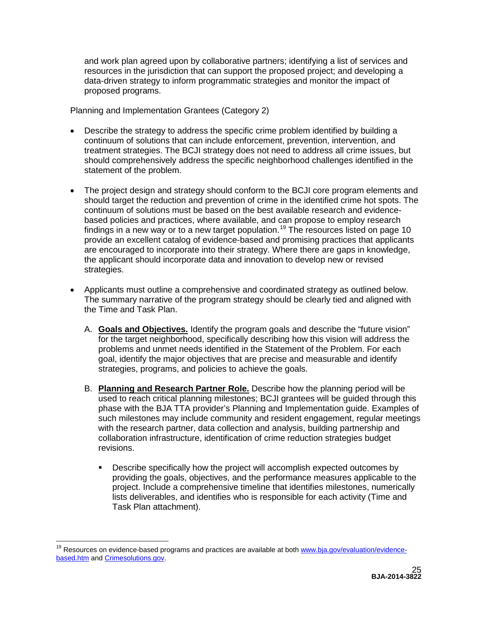and work plan agreed upon by collaborative partners; identifying a list of services and resources in the jurisdiction that can support the proposed project; and developing a data-driven strategy to inform programmatic strategies and monitor the impact of proposed programs.

Planning and Implementation Grantees (Category 2)

- Describe the strategy to address the specific crime problem identified by building a continuum of solutions that can include enforcement, prevention, intervention, and treatment strategies. The BCJI strategy does not need to address all crime issues, but should comprehensively address the specific neighborhood challenges identified in the statement of the problem.
- The project design and strategy should conform to the BCJI core program elements and should target the reduction and prevention of crime in the identified crime hot spots. The continuum of solutions must be based on the best available research and evidencebased policies and practices, where available, and can propose to employ research findings in a new way or to a new target population.<sup>[19](#page-24-0)</sup> The resources listed on page 10 provide an excellent catalog of evidence-based and promising practices that applicants are encouraged to incorporate into their strategy. Where there are gaps in knowledge, the applicant should incorporate data and innovation to develop new or revised strategies.
- Applicants must outline a comprehensive and coordinated strategy as outlined below. The summary narrative of the program strategy should be clearly tied and aligned with the Time and Task Plan.
	- A. **Goals and Objectives.** Identify the program goals and describe the "future vision" for the target neighborhood, specifically describing how this vision will address the problems and unmet needs identified in the Statement of the Problem. For each goal, identify the major objectives that are precise and measurable and identify strategies, programs, and policies to achieve the goals.
	- B. **Planning and Research Partner Role.** Describe how the planning period will be used to reach critical planning milestones; BCJI grantees will be guided through this phase with the BJA TTA provider's Planning and Implementation guide. Examples of such milestones may include community and resident engagement, regular meetings with the research partner, data collection and analysis, building partnership and collaboration infrastructure, identification of crime reduction strategies budget revisions.
		- **Describe specifically how the project will accomplish expected outcomes by** providing the goals, objectives, and the performance measures applicable to the project. Include a comprehensive timeline that identifies milestones, numerically lists deliverables, and identifies who is responsible for each activity (Time and Task Plan attachment).

<span id="page-24-0"></span><sup>&</sup>lt;sup>19</sup> Resources on evidence-based programs and practices are available at both [www.bja.gov/evaluation/evidence](http://www.bja.gov/evaluation/evidence-based.htm)[based.htm](http://www.bja.gov/evaluation/evidence-based.htm) and [Crimesolutions.gov.](http://www.crimesolutions.gov/)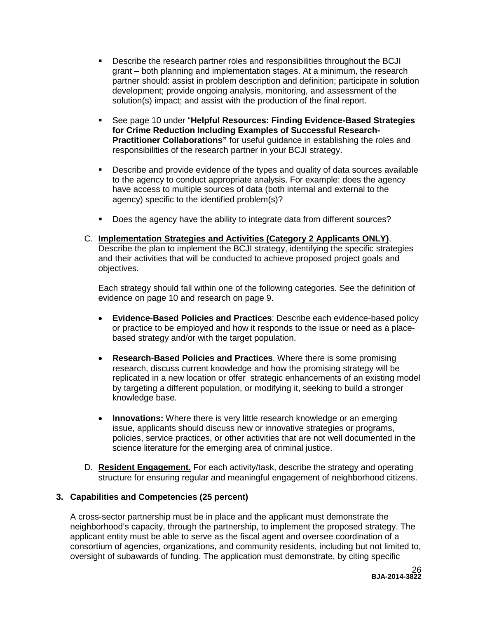- Describe the research partner roles and responsibilities throughout the BCJI grant – both planning and implementation stages. At a minimum, the research partner should: assist in problem description and definition; participate in solution development; provide ongoing analysis, monitoring, and assessment of the solution(s) impact; and assist with the production of the final report.
- See page 10 under "**Helpful Resources: Finding Evidence-Based Strategies for Crime Reduction Including Examples of Successful Research-Practitioner Collaborations"** for useful guidance in establishing the roles and responsibilities of the research partner in your BCJI strategy.
- Describe and provide evidence of the types and quality of data sources available to the agency to conduct appropriate analysis. For example: does the agency have access to multiple sources of data (both internal and external to the agency) specific to the identified problem(s)?
- Does the agency have the ability to integrate data from different sources?
- C. **Implementation Strategies and Activities (Category 2 Applicants ONLY)**. Describe the plan to implement the BCJI strategy, identifying the specific strategies and their activities that will be conducted to achieve proposed project goals and objectives.

Each strategy should fall within one of the following categories. See the definition of evidence on page 10 and research on page 9.

- **Evidence-Based Policies and Practices**: Describe each evidence-based policy or practice to be employed and how it responds to the issue or need as a placebased strategy and/or with the target population.
- **Research-Based Policies and Practices**. Where there is some promising research, discuss current knowledge and how the promising strategy will be replicated in a new location or offer strategic enhancements of an existing model by targeting a different population, or modifying it, seeking to build a stronger knowledge base.
- **Innovations:** Where there is very little research knowledge or an emerging issue, applicants should discuss new or innovative strategies or programs, policies, service practices, or other activities that are not well documented in the science literature for the emerging area of criminal justice.
- D. **Resident Engagement.** For each activity/task, describe the strategy and operating structure for ensuring regular and meaningful engagement of neighborhood citizens.

### **3. Capabilities and Competencies (25 percent)**

A cross-sector partnership must be in place and the applicant must demonstrate the neighborhood's capacity, through the partnership, to implement the proposed strategy. The applicant entity must be able to serve as the fiscal agent and oversee coordination of a consortium of agencies, organizations, and community residents, including but not limited to, oversight of subawards of funding. The application must demonstrate, by citing specific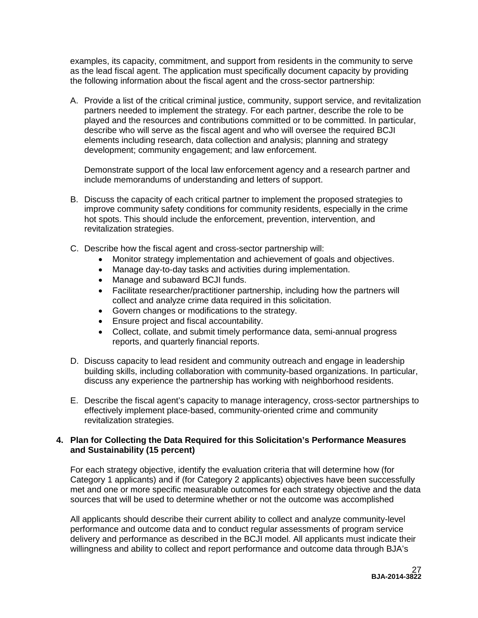examples, its capacity, commitment, and support from residents in the community to serve as the lead fiscal agent. The application must specifically document capacity by providing the following information about the fiscal agent and the cross-sector partnership:

A. Provide a list of the critical criminal justice, community, support service, and revitalization partners needed to implement the strategy. For each partner, describe the role to be played and the resources and contributions committed or to be committed. In particular, describe who will serve as the fiscal agent and who will oversee the required BCJI elements including research, data collection and analysis; planning and strategy development; community engagement; and law enforcement.

Demonstrate support of the local law enforcement agency and a research partner and include memorandums of understanding and letters of support.

- B. Discuss the capacity of each critical partner to implement the proposed strategies to improve community safety conditions for community residents, especially in the crime hot spots. This should include the enforcement, prevention, intervention, and revitalization strategies.
- C. Describe how the fiscal agent and cross-sector partnership will:
	- Monitor strategy implementation and achievement of goals and objectives.
	- Manage day-to-day tasks and activities during implementation.
	- Manage and subaward BCJI funds.
	- Facilitate researcher/practitioner partnership, including how the partners will collect and analyze crime data required in this solicitation.
	- Govern changes or modifications to the strategy.
	- Ensure project and fiscal accountability.
	- Collect, collate, and submit timely performance data, semi-annual progress reports, and quarterly financial reports.
- D. Discuss capacity to lead resident and community outreach and engage in leadership building skills, including collaboration with community-based organizations. In particular, discuss any experience the partnership has working with neighborhood residents.
- E. Describe the fiscal agent's capacity to manage interagency, cross-sector partnerships to effectively implement place-based, community-oriented crime and community revitalization strategies.

#### **4. Plan for Collecting the Data Required for this Solicitation's Performance Measures and Sustainability (15 percent)**

For each strategy objective, identify the evaluation criteria that will determine how (for Category 1 applicants) and if (for Category 2 applicants) objectives have been successfully met and one or more specific measurable outcomes for each strategy objective and the data sources that will be used to determine whether or not the outcome was accomplished

All applicants should describe their current ability to collect and analyze community-level performance and outcome data and to conduct regular assessments of program service delivery and performance as described in the BCJI model. All applicants must indicate their willingness and ability to collect and report performance and outcome data through BJA's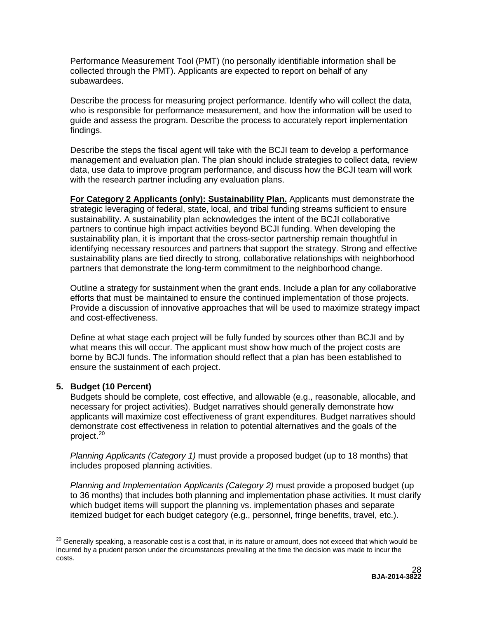Performance Measurement Tool (PMT) (no personally identifiable information shall be collected through the PMT). Applicants are expected to report on behalf of any subawardees.

Describe the process for measuring project performance. Identify who will collect the data, who is responsible for performance measurement, and how the information will be used to guide and assess the program. Describe the process to accurately report implementation findings.

Describe the steps the fiscal agent will take with the BCJI team to develop a performance management and evaluation plan. The plan should include strategies to collect data, review data, use data to improve program performance, and discuss how the BCJI team will work with the research partner including any evaluation plans.

**For Category 2 Applicants (only): Sustainability Plan.** Applicants must demonstrate the strategic leveraging of federal, state, local, and tribal funding streams sufficient to ensure sustainability. A sustainability plan acknowledges the intent of the BCJI collaborative partners to continue high impact activities beyond BCJI funding. When developing the sustainability plan, it is important that the cross-sector partnership remain thoughtful in identifying necessary resources and partners that support the strategy. Strong and effective sustainability plans are tied directly to strong, collaborative relationships with neighborhood partners that demonstrate the long-term commitment to the neighborhood change.

Outline a strategy for sustainment when the grant ends. Include a plan for any collaborative efforts that must be maintained to ensure the continued implementation of those projects. Provide a discussion of innovative approaches that will be used to maximize strategy impact and cost-effectiveness.

Define at what stage each project will be fully funded by sources other than BCJI and by what means this will occur. The applicant must show how much of the project costs are borne by BCJI funds. The information should reflect that a plan has been established to ensure the sustainment of each project.

### **5. Budget (10 Percent)**

Budgets should be complete, cost effective, and allowable (e.g., reasonable, allocable, and necessary for project activities). Budget narratives should generally demonstrate how applicants will maximize cost effectiveness of grant expenditures. Budget narratives should demonstrate cost effectiveness in relation to potential alternatives and the goals of the project.<sup>[20](#page-27-0)</sup>

*Planning Applicants (Category 1)* must provide a proposed budget (up to 18 months) that includes proposed planning activities.

*Planning and Implementation Applicants (Category 2)* must provide a proposed budget (up to 36 months) that includes both planning and implementation phase activities. It must clarify which budget items will support the planning vs. implementation phases and separate itemized budget for each budget category (e.g., personnel, fringe benefits, travel, etc.).

<span id="page-27-0"></span><sup>&</sup>lt;sup>20</sup> Generally speaking, a reasonable cost is a cost that, in its nature or amount, does not exceed that which would be incurred by a prudent person under the circumstances prevailing at the time the decision was made to incur the costs.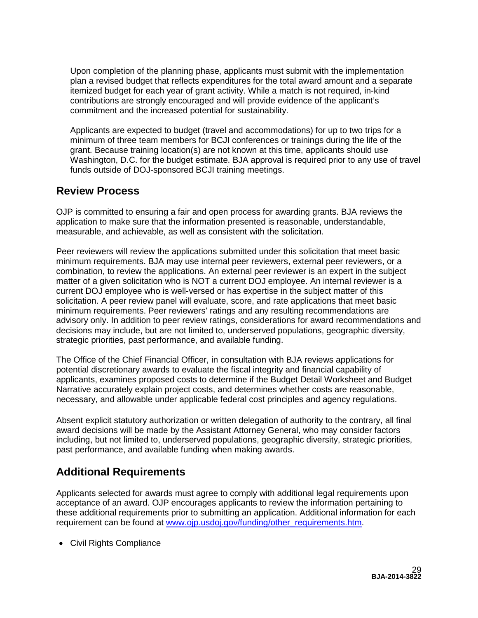Upon completion of the planning phase, applicants must submit with the implementation plan a revised budget that reflects expenditures for the total award amount and a separate itemized budget for each year of grant activity. While a match is not required, in-kind contributions are strongly encouraged and will provide evidence of the applicant's commitment and the increased potential for sustainability.

Applicants are expected to budget (travel and accommodations) for up to two trips for a minimum of three team members for BCJI conferences or trainings during the life of the grant. Because training location(s) are not known at this time, applicants should use Washington, D.C. for the budget estimate. BJA approval is required prior to any use of travel funds outside of DOJ-sponsored BCJI training meetings.

# <span id="page-28-0"></span>**Review Process**

OJP is committed to ensuring a fair and open process for awarding grants. BJA reviews the application to make sure that the information presented is reasonable, understandable, measurable, and achievable, as well as consistent with the solicitation.

Peer reviewers will review the applications submitted under this solicitation that meet basic minimum requirements. BJA may use internal peer reviewers, external peer reviewers, or a combination, to review the applications. An external peer reviewer is an expert in the subject matter of a given solicitation who is NOT a current DOJ employee. An internal reviewer is a current DOJ employee who is well-versed or has expertise in the subject matter of this solicitation. A peer review panel will evaluate, score, and rate applications that meet basic minimum requirements. Peer reviewers' ratings and any resulting recommendations are advisory only. In addition to peer review ratings, considerations for award recommendations and decisions may include, but are not limited to, underserved populations, geographic diversity, strategic priorities, past performance, and available funding.

The Office of the Chief Financial Officer, in consultation with BJA reviews applications for potential discretionary awards to evaluate the fiscal integrity and financial capability of applicants, examines proposed costs to determine if the Budget Detail Worksheet and Budget Narrative accurately explain project costs, and determines whether costs are reasonable, necessary, and allowable under applicable federal cost principles and agency regulations.

Absent explicit statutory authorization or written delegation of authority to the contrary, all final award decisions will be made by the Assistant Attorney General, who may consider factors including, but not limited to, underserved populations, geographic diversity, strategic priorities, past performance, and available funding when making awards.

# <span id="page-28-1"></span>**Additional Requirements**

Applicants selected for awards must agree to comply with additional legal requirements upon acceptance of an award. OJP encourages applicants to review the information pertaining to these additional requirements prior to submitting an application. Additional information for each requirement can be found at [www.ojp.usdoj.gov/funding/other\\_requirements.htm.](http://www.ojp.usdoj.gov/funding/other_requirements.htm)

• [Civil Rights Compliance](http://www.ojp.usdoj.gov/about/ocr/statutes.htm)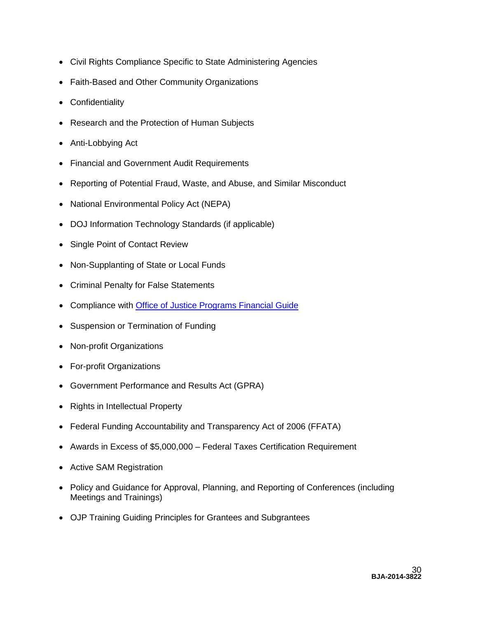- Civil Rights Compliance Specific to State Administering Agencies
- Faith-Based and Other Community Organizations
- Confidentiality
- Research and the Protection of Human Subjects
- Anti-Lobbying Act
- Financial and Government Audit Requirements
- Reporting of Potential Fraud, Waste, and Abuse, and Similar Misconduct
- National Environmental Policy Act (NEPA)
- DOJ Information Technology Standards (if applicable)
- Single Point of Contact Review
- Non-Supplanting of State or Local Funds
- Criminal Penalty for False Statements
- Compliance with [Office of Justice Programs Financial Guide](http://www.ojp.usdoj.gov/financialguide/index.htm)
- Suspension or Termination of Funding
- Non-profit Organizations
- For-profit Organizations
- Government Performance and Results Act (GPRA)
- Rights in Intellectual Property
- Federal Funding Accountability and Transparency Act of 2006 (FFATA)
- Awards in Excess of \$5,000,000 Federal Taxes Certification Requirement
- Active SAM Registration
- Policy and Guidance for Approval, Planning, and Reporting of Conferences (including Meetings and Trainings)
- <span id="page-29-0"></span>• OJP Training Guiding Principles for Grantees and Subgrantees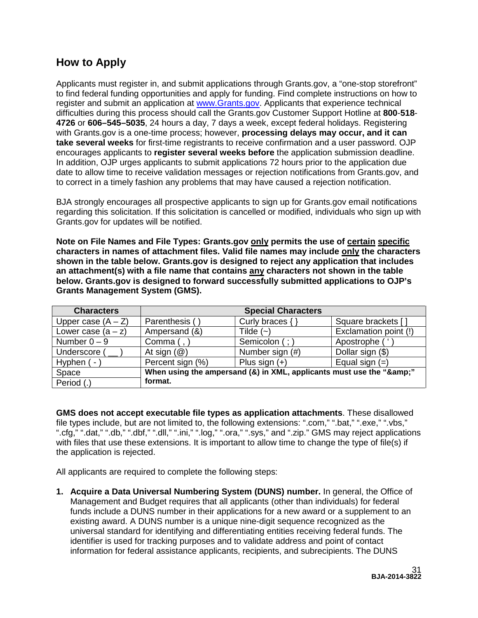# **How to Apply**

Applicants must register in, and submit applications through Grants.gov, a "one-stop storefront" to find federal funding opportunities and apply for funding. Find complete instructions on how to register and submit an application at [www.Grants.gov.](http://www.grants.gov/) Applicants that experience technical difficulties during this process should call the Grants.gov Customer Support Hotline at **800**-**518**- **4726** or **606–545–5035**, 24 hours a day, 7 days a week, except federal holidays. Registering with Grants.gov is a one-time process; however, **processing delays may occur, and it can take several weeks** for first-time registrants to receive confirmation and a user password. OJP encourages applicants to **register several weeks before** the application submission deadline. In addition, OJP urges applicants to submit applications 72 hours prior to the application due date to allow time to receive validation messages or rejection notifications from Grants.gov, and to correct in a timely fashion any problems that may have caused a rejection notification.

BJA strongly encourages all prospective applicants to sign up for Grants.gov email notifications regarding this solicitation. If this solicitation is cancelled or modified, individuals who sign up with Grants.gov for updates will be notified.

**Note on File Names and File Types: Grants.gov only permits the use of certain specific characters in names of attachment files. Valid file names may include only the characters shown in the table below. Grants.gov is designed to reject any application that includes an attachment(s) with a file name that contains any characters not shown in the table below. Grants.gov is designed to forward successfully submitted applications to OJP's Grants Management System (GMS).**

| <b>Characters</b>    | <b>Special Characters</b>                                        |                     |                       |
|----------------------|------------------------------------------------------------------|---------------------|-----------------------|
| Upper case $(A - Z)$ | Parenthesis (                                                    | Curly braces $\{\}$ | Square brackets [     |
| Lower case $(a - z)$ | Ampersand (&)                                                    | Tilde $(-)$         | Exclamation point (!) |
| Number $0 - 9$       | Comma $($ , $)$                                                  | Semicolon (;)       | Apostrophe (          |
| Underscore (         | At sign $(\mathcal{Q})$                                          | Number sign (#)     | Dollar sign (\$)      |
| Hyphen (-            | Percent sign (%)                                                 | Plus sign $(+)$     | Equal sign $(=)$      |
| Space                | When using the ampersand (&) in XML, applicants must use the "&" |                     |                       |
| Period (.)           | format.                                                          |                     |                       |

**GMS does not accept executable file types as application attachments**. These disallowed file types include, but are not limited to, the following extensions: ".com," ".bat," ".exe," ".vbs," ".cfg," ".dat," ".db," ".dbf," ".dll," ".ini," ".log," ".ora," ".sys," and ".zip." GMS may reject applications with files that use these extensions. It is important to allow time to change the type of file(s) if the application is rejected.

All applicants are required to complete the following steps:

**1. Acquire a Data Universal Numbering System (DUNS) number.** In general, the Office of Management and Budget requires that all applicants (other than individuals) for federal funds include a DUNS number in their applications for a new award or a supplement to an existing award. A DUNS number is a unique nine-digit sequence recognized as the universal standard for identifying and differentiating entities receiving federal funds. The identifier is used for tracking purposes and to validate address and point of contact information for federal assistance applicants, recipients, and subrecipients. The DUNS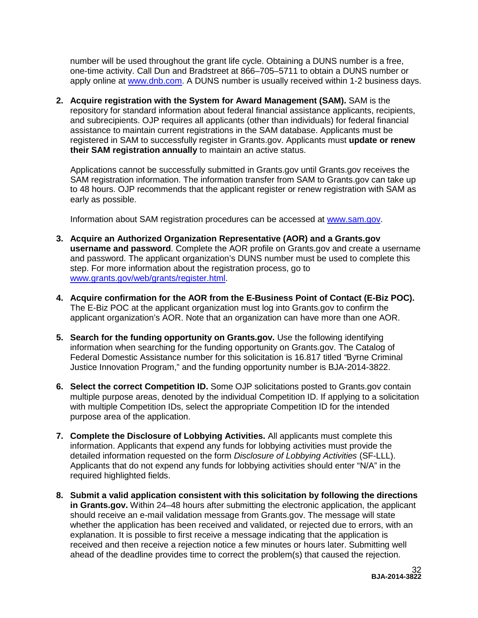number will be used throughout the grant life cycle. Obtaining a DUNS number is a free, one-time activity. Call Dun and Bradstreet at 866–705–5711 to obtain a DUNS number or apply online at [www.dnb.com.](http://www.dnb.com/) A DUNS number is usually received within 1-2 business days.

**2. Acquire registration with the System for Award Management (SAM).** SAM is the repository for standard information about federal financial assistance applicants, recipients, and subrecipients. OJP requires all applicants (other than individuals) for federal financial assistance to maintain current registrations in the SAM database. Applicants must be registered in SAM to successfully register in Grants.gov. Applicants must **update or renew their SAM registration annually** to maintain an active status.

Applications cannot be successfully submitted in Grants.gov until Grants.gov receives the SAM registration information. The information transfer from SAM to Grants.gov can take up to 48 hours. OJP recommends that the applicant register or renew registration with SAM as early as possible.

Information about SAM registration procedures can be accessed at [www.sam.gov.](https://www.sam.gov/portal/public/SAM/?portal:componentId=1f834b82-3fed-4eb3-a1f8-ea1f226a7955&portal:type=action&interactionstate=JBPNS_rO0ABXc0ABBfanNmQnJpZGdlVmlld0lkAAAAAQATL2pzZi9uYXZpZ2F0aW9uLmpzcAAHX19FT0ZfXw**)

- **3. Acquire an Authorized Organization Representative (AOR) and a Grants.gov username and password**. Complete the AOR profile on Grants.gov and create a username and password. The applicant organization's DUNS number must be used to complete this step. For more information about the registration process, go to [www.grants.gov/web/grants/register.html.](http://www.grants.gov/web/grants/register.html)
- **4. Acquire confirmation for the AOR from the E-Business Point of Contact (E-Biz POC).**  The E-Biz POC at the applicant organization must log into Grants.gov to confirm the applicant organization's AOR. Note that an organization can have more than one AOR.
- **5. Search for the funding opportunity on Grants.gov.** Use the following identifying information when searching for the funding opportunity on Grants.gov. The Catalog of Federal Domestic Assistance number for this solicitation is 16.817 titled *"*Byrne Criminal Justice Innovation Program," and the funding opportunity number is BJA-2014-3822.
- **6. Select the correct Competition ID.** Some OJP solicitations posted to Grants.gov contain multiple purpose areas, denoted by the individual Competition ID. If applying to a solicitation with multiple Competition IDs, select the appropriate Competition ID for the intended purpose area of the application.
- **7. Complete the Disclosure of Lobbying Activities.** All applicants must complete this information. Applicants that expend any funds for lobbying activities must provide the detailed information requested on the form *Disclosure of Lobbying Activities* (SF-LLL). Applicants that do not expend any funds for lobbying activities should enter "N/A" in the required highlighted fields.
- **8. Submit a valid application consistent with this solicitation by following the directions in Grants.gov.** Within 24–48 hours after submitting the electronic application, the applicant should receive an e-mail validation message from Grants.gov. The message will state whether the application has been received and validated, or rejected due to errors, with an explanation. It is possible to first receive a message indicating that the application is received and then receive a rejection notice a few minutes or hours later. Submitting well ahead of the deadline provides time to correct the problem(s) that caused the rejection.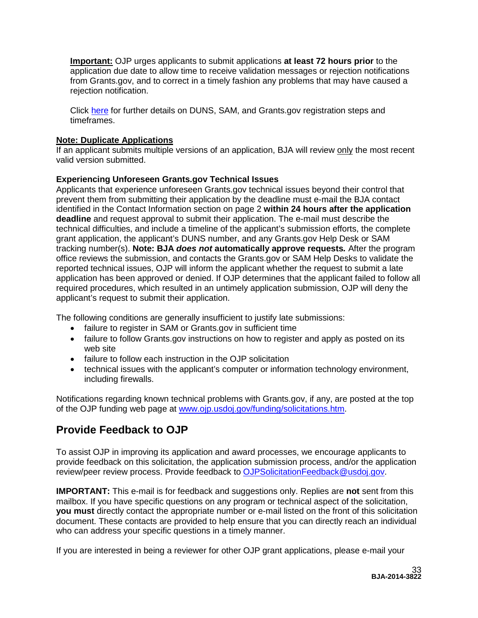**Important:** OJP urges applicants to submit applications **at least 72 hours prior** to the application due date to allow time to receive validation messages or rejection notifications from Grants.gov, and to correct in a timely fashion any problems that may have caused a rejection notification.

Click [here](http://www.grants.gov/web/grants/applicants/organization-registration.html) for further details on DUNS, SAM, and Grants.gov registration steps and timeframes.

# **Note: Duplicate Applications**

If an applicant submits multiple versions of an application, BJA will review only the most recent valid version submitted.

# **Experiencing Unforeseen Grants.gov Technical Issues**

Applicants that experience unforeseen Grants.gov technical issues beyond their control that prevent them from submitting their application by the deadline must e-mail the BJA contact identified in the Contact Information section on page 2 **within 24 hours after the application deadline** and request approval to submit their application. The e-mail must describe the technical difficulties, and include a timeline of the applicant's submission efforts, the complete grant application, the applicant's DUNS number, and any Grants.gov Help Desk or SAM tracking number(s). **Note: BJA** *does not* **automatically approve requests***.* After the program office reviews the submission, and contacts the Grants.gov or SAM Help Desks to validate the reported technical issues, OJP will inform the applicant whether the request to submit a late application has been approved or denied. If OJP determines that the applicant failed to follow all required procedures, which resulted in an untimely application submission, OJP will deny the applicant's request to submit their application.

The following conditions are generally insufficient to justify late submissions:

- failure to register in SAM or Grants.gov in sufficient time
- failure to follow Grants.gov instructions on how to register and apply as posted on its web site
- failure to follow each instruction in the OJP solicitation
- technical issues with the applicant's computer or information technology environment, including firewalls.

Notifications regarding known technical problems with Grants.gov, if any, are posted at the top of the OJP funding web page at [www.ojp.usdoj.gov/funding/solicitations.htm.](http://www.ojp.gov/funding/solicitations.htm)

# <span id="page-32-0"></span>**Provide Feedback to OJP**

To assist OJP in improving its application and award processes, we encourage applicants to provide feedback on this solicitation, the application submission process, and/or the application review/peer review process. Provide feedback to [OJPSolicitationFeedback@usdoj.gov.](mailto:OJPSolicitationFeedback@usdoj.gov)

**IMPORTANT:** This e-mail is for feedback and suggestions only. Replies are **not** sent from this mailbox. If you have specific questions on any program or technical aspect of the solicitation, **you must** directly contact the appropriate number or e-mail listed on the front of this solicitation document. These contacts are provided to help ensure that you can directly reach an individual who can address your specific questions in a timely manner.

If you are interested in being a reviewer for other OJP grant applications, please e-mail your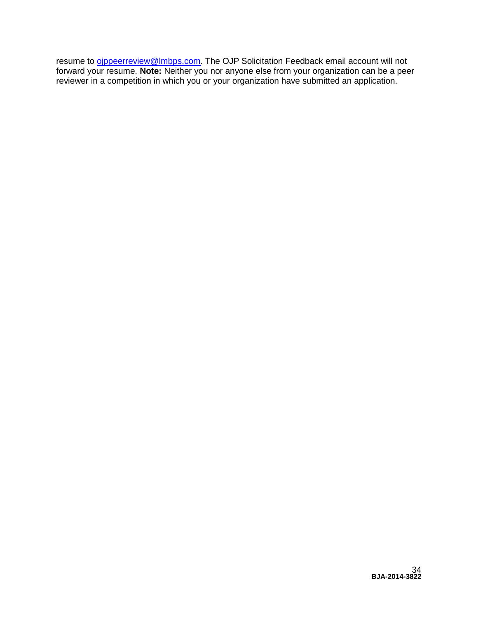resume to <u>oippeerreview@Imbps.com</u>. The OJP Solicitation Feedback email account will not forward your resume. **Note:** Neither you nor anyone else from your organization can be a peer reviewer in a competition in which you or your organization have submitted an application.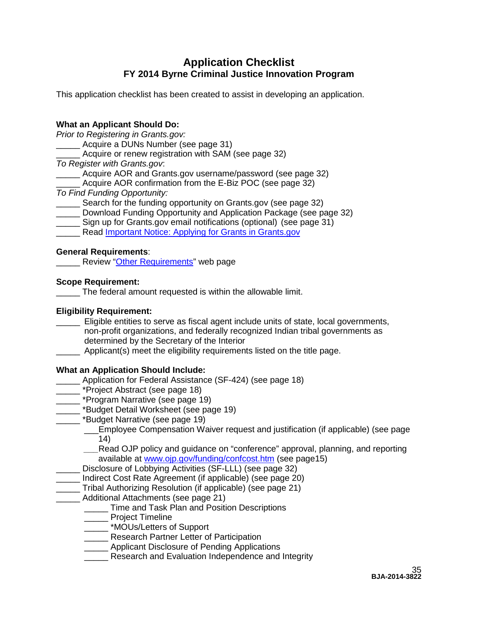# **Application Checklist FY 2014 Byrne Criminal Justice Innovation Program**

<span id="page-34-0"></span>This application checklist has been created to assist in developing an application.

# **What an Applicant Should Do:**

*Prior to Registering in Grants.gov:*

\_\_\_\_\_ Acquire a DUNs Number (see page 31)

Acquire or renew registration with SAM (see page 32)

*To Register with Grants.gov*:

Acquire AOR and Grants.gov username/password (see page 32)

- Acquire AOR confirmation from the E-Biz POC (see page 32)
- *To Find Funding Opportunity:*

Search for the funding opportunity on Grants.gov (see page 32)

- \_\_\_\_\_ Download Funding Opportunity and Application Package (see page 32)
- \_\_\_\_\_ Sign up for Grants.gov email notifications (optional) (see page 31)
- Read [Important Notice: Applying for Grants in Grants.gov](http://www.ojp.usdoj.gov/funding/grantsgov_information.htm)

# **General Requirements**:

Review ["Other Requirements"](http://www.ojp.usdoj.gov/funding/other_requirements.htm) web page

# **Scope Requirement:**

\_\_\_\_\_ The federal amount requested is within the allowable limit.

# **Eligibility Requirement:**

\_\_\_\_\_ Eligible entities to serve as fiscal agent include units of state, local governments, non-profit organizations, and federally recognized Indian tribal governments as determined by the Secretary of the Interior

Applicant(s) meet the eligibility requirements listed on the title page.

# **What an Application Should Include:**

- \_\_\_\_\_ Application for Federal Assistance (SF-424) (see page 18)
- **Notal** \*Project Abstract (see page 18)
- \*Program Narrative (see page 19)
- \*Budget Detail Worksheet (see page 19)
- \_\_\_\_\_ \*Budget Narrative (see page 19)
	- \_\_\_Employee Compensation Waiver request and justification (if applicable) (see page 14)
	- *\_\_\_*Read OJP policy and guidance on "conference" approval, planning, and reporting available at [www.ojp.gov/funding/confcost.htm](http://www.ojp.gov/funding/confcost.htm) (see page15)
	- Disclosure of Lobbying Activities (SF-LLL) (see page 32)
- Indirect Cost Rate Agreement (if applicable) (see page 20)
- \_\_\_\_\_ Tribal Authorizing Resolution (if applicable) (see page 21)
- Additional Attachments (see page 21)
	- **Time and Task Plan and Position Descriptions**
	- \_\_\_\_\_ Project Timeline
	- \_\_\_\_\_ \*MOUs/Letters of Support
	- **Nesearch Partner Letter of Participation**
	- Applicant Disclosure of Pending Applications
	- Research and Evaluation Independence and Integrity